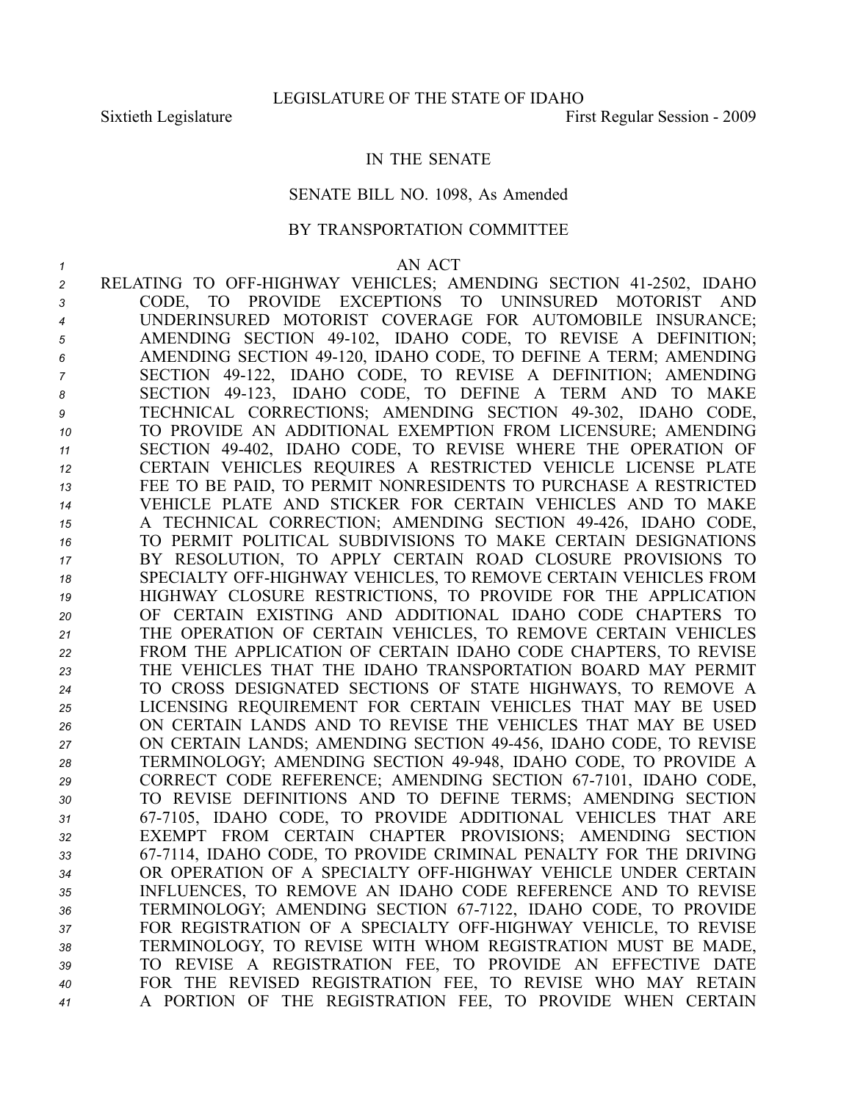## IN THE SENATE

## SENATE BILL NO. 1098, As Amended

## BY TRANSPORTATION COMMITTEE

## *<sup>1</sup>* AN ACT

 RELATING TO OFFHIGHWAY VEHICLES; AMENDING SECTION 412502, IDAHO CODE, TO PROVIDE EXCEPTIONS TO UNINSURED MOTORIST AND UNDERINSURED MOTORIST COVERAGE FOR AUTOMOBILE INSURANCE; AMENDING SECTION 49102, IDAHO CODE, TO REVISE A DEFINITION; AMENDING SECTION 49120, IDAHO CODE, TO DEFINE A TERM; AMENDING SECTION 49122, IDAHO CODE, TO REVISE A DEFINITION; AMENDING 8 SECTION 49-123, IDAHO CODE, TO DEFINE A TERM AND TO MAKE TECHNICAL CORRECTIONS; AMENDING SECTION 49302, IDAHO CODE, TO PROVIDE AN ADDITIONAL EXEMPTION FROM LICENSURE; AMENDING SECTION 49402, IDAHO CODE, TO REVISE WHERE THE OPERATION OF CERTAIN VEHICLES REQUIRES A RESTRICTED VEHICLE LICENSE PLATE FEE TO BE PAID, TO PERMIT NONRESIDENTS TO PURCHASE A RESTRICTED VEHICLE PLATE AND STICKER FOR CERTAIN VEHICLES AND TO MAKE A TECHNICAL CORRECTION; AMENDING SECTION 49426, IDAHO CODE, TO PERMIT POLITICAL SUBDIVISIONS TO MAKE CERTAIN DESIGNATIONS BY RESOLUTION, TO APPLY CERTAIN ROAD CLOSURE PROVISIONS TO 18 SPECIALTY OFF-HIGHWAY VEHICLES, TO REMOVE CERTAIN VEHICLES FROM HIGHWAY CLOSURE RESTRICTIONS, TO PROVIDE FOR THE APPLICATION OF CERTAIN EXISTING AND ADDITIONAL IDAHO CODE CHAPTERS TO THE OPERATION OF CERTAIN VEHICLES, TO REMOVE CERTAIN VEHICLES FROM THE APPLICATION OF CERTAIN IDAHO CODE CHAPTERS, TO REVISE THE VEHICLES THAT THE IDAHO TRANSPORTATION BOARD MAY PERMIT TO CROSS DESIGNATED SECTIONS OF STATE HIGHWAYS, TO REMOVE A LICENSING REQUIREMENT FOR CERTAIN VEHICLES THAT MAY BE USED ON CERTAIN LANDS AND TO REVISE THE VEHICLES THAT MAY BE USED ON CERTAIN LANDS; AMENDING SECTION 49456, IDAHO CODE, TO REVISE 28 TERMINOLOGY; AMENDING SECTION 49-948, IDAHO CODE, TO PROVIDE A 29 CORRECT CODE REFERENCE; AMENDING SECTION 67-7101, IDAHO CODE, TO REVISE DEFINITIONS AND TO DEFINE TERMS; AMENDING SECTION 677105, IDAHO CODE, TO PROVIDE ADDITIONAL VEHICLES THAT ARE EXEMPT FROM CERTAIN CHAPTER PROVISIONS; AMENDING SECTION 677114, IDAHO CODE, TO PROVIDE CRIMINAL PENALTY FOR THE DRIVING 34 OR OPERATION OF A SPECIALTY OFF-HIGHWAY VEHICLE UNDER CERTAIN INFLUENCES, TO REMOVE AN IDAHO CODE REFERENCE AND TO REVISE 36 TERMINOLOGY; AMENDING SECTION 67-7122, IDAHO CODE, TO PROVIDE FOR REGISTRATION OF A SPECIALTY OFFHIGHWAY VEHICLE, TO REVISE TERMINOLOGY, TO REVISE WITH WHOM REGISTRATION MUST BE MADE, TO REVISE A REGISTRATION FEE, TO PROVIDE AN EFFECTIVE DATE FOR THE REVISED REGISTRATION FEE, TO REVISE WHO MAY RETAIN A PORTION OF THE REGISTRATION FEE, TO PROVIDE WHEN CERTAIN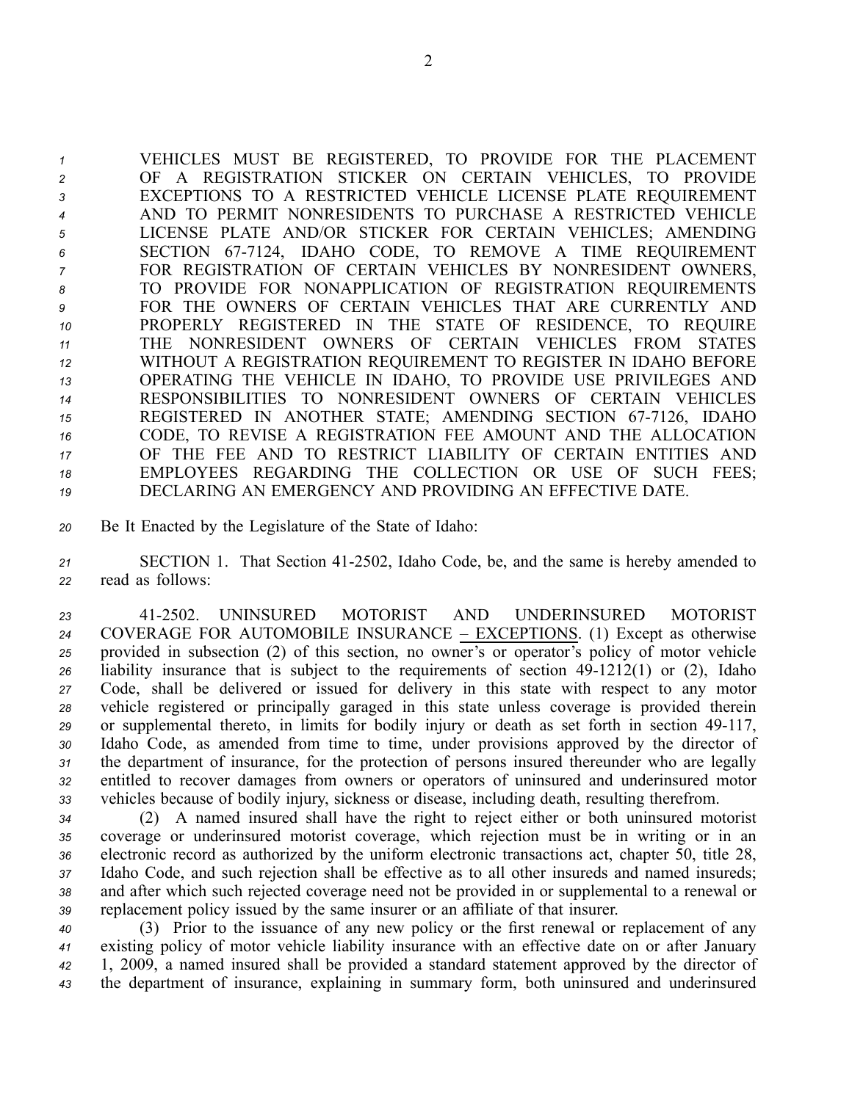VEHICLES MUST BE REGISTERED, TO PROVIDE FOR THE PLACEMENT OF A REGISTRATION STICKER ON CERTAIN VEHICLES, TO PROVIDE EXCEPTIONS TO A RESTRICTED VEHICLE LICENSE PLATE REQUIREMENT AND TO PERMIT NONRESIDENTS TO PURCHASE A RESTRICTED VEHICLE LICENSE PLATE AND/OR STICKER FOR CERTAIN VEHICLES; AMENDING 6 SECTION 67-7124, IDAHO CODE, TO REMOVE A TIME REQUIREMENT FOR REGISTRATION OF CERTAIN VEHICLES BY NONRESIDENT OWNERS, TO PROVIDE FOR NONAPPLICATION OF REGISTRATION REQUIREMENTS FOR THE OWNERS OF CERTAIN VEHICLES THAT ARE CURRENTLY AND PROPERLY REGISTERED IN THE STATE OF RESIDENCE, TO REQUIRE THE NONRESIDENT OWNERS OF CERTAIN VEHICLES FROM STATES WITHOUT A REGISTRATION REQUIREMENT TO REGISTER IN IDAHO BEFORE OPERATING THE VEHICLE IN IDAHO, TO PROVIDE USE PRIVILEGES AND RESPONSIBILITIES TO NONRESIDENT OWNERS OF CERTAIN VEHICLES REGISTERED IN ANOTHER STATE; AMENDING SECTION 677126, IDAHO CODE, TO REVISE A REGISTRATION FEE AMOUNT AND THE ALLOCATION OF THE FEE AND TO RESTRICT LIABILITY OF CERTAIN ENTITIES AND EMPLOYEES REGARDING THE COLLECTION OR USE OF SUCH FEES; DECLARING AN EMERGENCY AND PROVIDING AN EFFECTIVE DATE.

*<sup>20</sup>* Be It Enacted by the Legislature of the State of Idaho:

*<sup>21</sup>* SECTION 1. That Section 412502, Idaho Code, be, and the same is hereby amended to *<sup>22</sup>* read as follows:

 412502. UNINSURED MOTORIST AND UNDERINSURED MOTORIST COVERAGE FOR AUTOMOBILE INSURANCE – EXCEPTIONS. (1) Except as otherwise provided in subsection (2) of this section, no owner's or operator's policy of motor vehicle liability insurance that is subject to the requirements of section 49-1212(1) or (2), Idaho Code, shall be delivered or issued for delivery in this state with respec<sup>t</sup> to any motor vehicle registered or principally garaged in this state unless coverage is provided therein 29 or supplemental thereto, in limits for bodily injury or death as set forth in section 49-117, Idaho Code, as amended from time to time, under provisions approved by the director of the department of insurance, for the protection of persons insured thereunder who are legally entitled to recover damages from owners or operators of uninsured and underinsured motor vehicles because of bodily injury, sickness or disease, including death, resulting therefrom.

 (2) A named insured shall have the right to reject either or both uninsured motorist coverage or underinsured motorist coverage, which rejection must be in writing or in an electronic record as authorized by the uniform electronic transactions act, chapter 50, title 28, Idaho Code, and such rejection shall be effective as to all other insureds and named insureds; and after which such rejected coverage need not be provided in or supplemental to <sup>a</sup> renewal or replacement policy issued by the same insurer or an affiliate of that insurer.

 (3) Prior to the issuance of any new policy or the first renewal or replacement of any existing policy of motor vehicle liability insurance with an effective date on or after January 1, 2009, <sup>a</sup> named insured shall be provided <sup>a</sup> standard statement approved by the director of the department of insurance, explaining in summary form, both uninsured and underinsured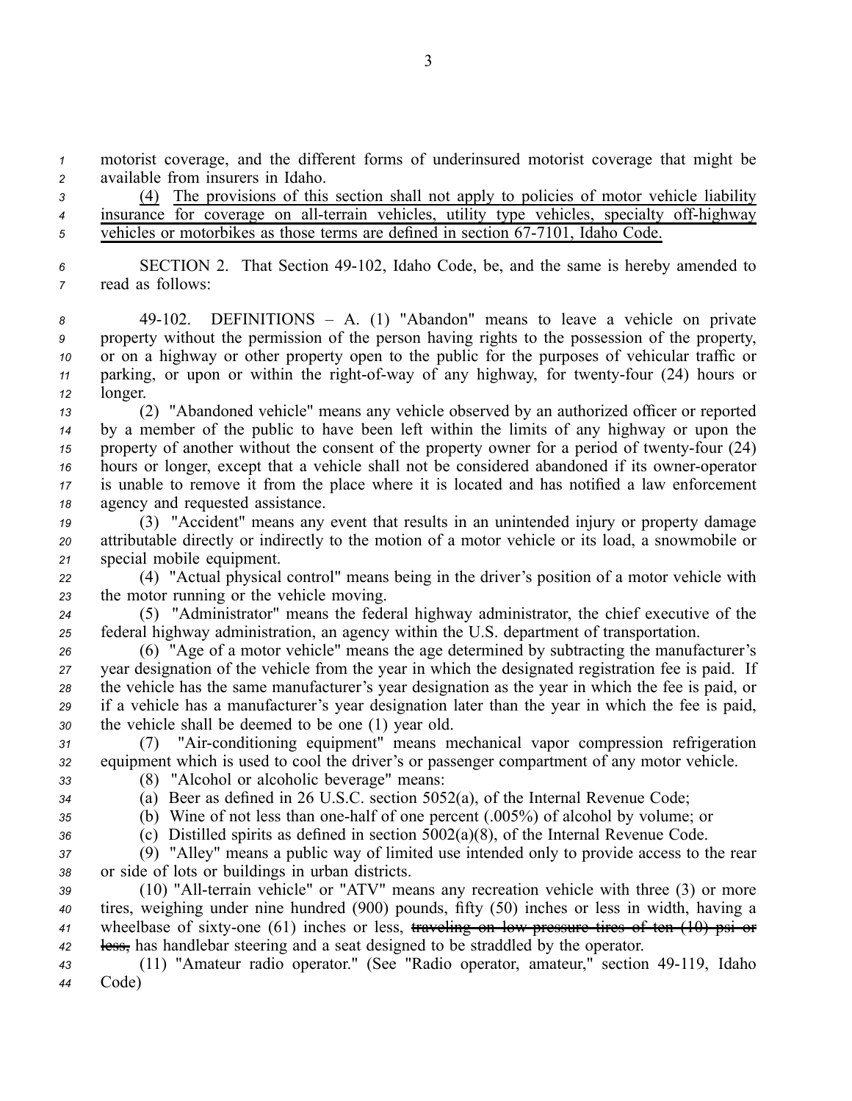*<sup>1</sup>* motorist coverage, and the different forms of underinsured motorist coverage that might be *<sup>2</sup>* available from insurers in Idaho.

*<sup>3</sup>* (4) The provisions of this section shall not apply to policies of motor vehicle liability 4 insurance for coverage on all-terrain vehicles, utility type vehicles, specialty off-highway <sup>5</sup> vehicles or motorbikes as those terms are defined in section 67-7101, Idaho Code.

*<sup>6</sup>* SECTION 2. That Section 49102, Idaho Code, be, and the same is hereby amended to *<sup>7</sup>* read as follows:

 49102. DEFINITIONS – A. (1) "Abandon" means to leave <sup>a</sup> vehicle on private property without the permission of the person having rights to the possession of the property, or on <sup>a</sup> highway or other property open to the public for the purposes of vehicular traffic or parking, or upon or within the right-of-way of any highway, for twenty-four (24) hours or *<sup>12</sup>* longer.

- *<sup>13</sup>* (2) "Abandoned vehicle" means any vehicle observed by an authorized officer or reported *<sup>14</sup>* by <sup>a</sup> member of the public to have been left within the limits of any highway or upon the *15* property of another without the consent of the property owner for a period of twenty-four (24) *16* hours or longer, except that a vehicle shall not be considered abandoned if its owner-operator *<sup>17</sup>* is unable to remove it from the place where it is located and has notified <sup>a</sup> law enforcement *<sup>18</sup>* agency and requested assistance.
- *<sup>19</sup>* (3) "Accident" means any event that results in an unintended injury or property damage *<sup>20</sup>* attributable directly or indirectly to the motion of <sup>a</sup> motor vehicle or its load, <sup>a</sup> snowmobile or *<sup>21</sup>* special mobile equipment.

*<sup>22</sup>* (4) "Actual physical control" means being in the driver's position of <sup>a</sup> motor vehicle with *<sup>23</sup>* the motor running or the vehicle moving.

*<sup>24</sup>* (5) "Administrator" means the federal highway administrator, the chief executive of the *<sup>25</sup>* federal highway administration, an agency within the U.S. department of transportation.

 (6) "Age of <sup>a</sup> motor vehicle" means the age determined by subtracting the manufacturer's year designation of the vehicle from the year in which the designated registration fee is paid. If the vehicle has the same manufacturer's year designation as the year in which the fee is paid, or if <sup>a</sup> vehicle has <sup>a</sup> manufacturer's year designation later than the year in which the fee is paid, the vehicle shall be deemed to be one (1) year old.

*<sup>31</sup>* (7) "Airconditioning equipment" means mechanical vapor compression refrigeration *<sup>32</sup>* equipment which is used to cool the driver's or passenger compartment of any motor vehicle. *<sup>33</sup>* (8) "Alcohol or alcoholic beverage" means:

- 
- *<sup>34</sup>* (a) Beer as defined in 26 U.S.C. section 5052(a), of the Internal Revenue Code;
- 

*<sup>35</sup>* (b) Wine of not less than onehalf of one percen<sup>t</sup> (.005%) of alcohol by volume; or

*<sup>36</sup>* (c) Distilled spirits as defined in section 5002(a)(8), of the Internal Revenue Code.

*<sup>37</sup>* (9) "Alley" means <sup>a</sup> public way of limited use intended only to provide access to the rear *<sup>38</sup>* or side of lots or buildings in urban districts.

39 (10) "All-terrain vehicle" or "ATV" means any recreation vehicle with three (3) or more *<sup>40</sup>* tires, weighing under nine hundred (900) pounds, fifty (50) inches or less in width, having <sup>a</sup> 41 wheelbase of sixty-one (61) inches or less, traveling on low pressure tires of ten (10) psi or *<sup>42</sup>* less, has handlebar steering and <sup>a</sup> seat designed to be straddled by the operator.

*<sup>43</sup>* (11) "Amateur radio operator." (See "Radio operator, amateur," section 49119, Idaho *<sup>44</sup>* Code)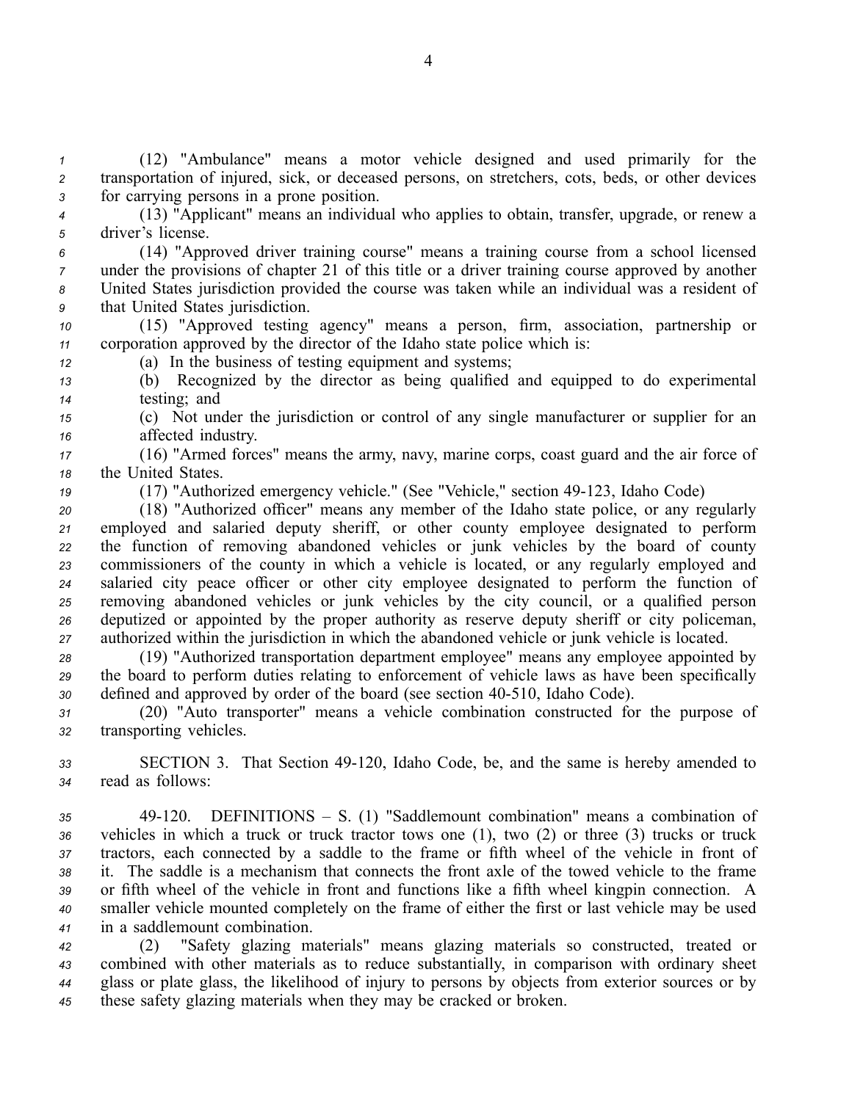*<sup>1</sup>* (12) "Ambulance" means <sup>a</sup> motor vehicle designed and used primarily for the *<sup>2</sup>* transportation of injured, sick, or deceased persons, on stretchers, cots, beds, or other devices *<sup>3</sup>* for carrying persons in <sup>a</sup> prone position.

*<sup>4</sup>* (13) "Applicant" means an individual who applies to obtain, transfer, upgrade, or renew <sup>a</sup> *<sup>5</sup>* driver's license.

 (14) "Approved driver training course" means <sup>a</sup> training course from <sup>a</sup> school licensed under the provisions of chapter 21 of this title or <sup>a</sup> driver training course approved by another United States jurisdiction provided the course was taken while an individual was <sup>a</sup> resident of that United States jurisdiction.

*<sup>10</sup>* (15) "Approved testing agency" means <sup>a</sup> person, firm, association, partnership or *<sup>11</sup>* corporation approved by the director of the Idaho state police which is:

*<sup>12</sup>* (a) In the business of testing equipment and systems;

*<sup>13</sup>* (b) Recognized by the director as being qualified and equipped to do experimental *<sup>14</sup>* testing; and

*<sup>15</sup>* (c) Not under the jurisdiction or control of any single manufacturer or supplier for an *<sup>16</sup>* affected industry.

*<sup>17</sup>* (16) "Armed forces" means the army, navy, marine corps, coast guard and the air force of *<sup>18</sup>* the United States.

19 (17) "Authorized emergency vehicle." (See "Vehicle," section 49-123, Idaho Code)

 (18) "Authorized officer" means any member of the Idaho state police, or any regularly employed and salaried deputy sheriff, or other county employee designated to perform the function of removing abandoned vehicles or junk vehicles by the board of county commissioners of the county in which <sup>a</sup> vehicle is located, or any regularly employed and salaried city peace officer or other city employee designated to perform the function of removing abandoned vehicles or junk vehicles by the city council, or <sup>a</sup> qualified person deputized or appointed by the proper authority as reserve deputy sheriff or city policeman, authorized within the jurisdiction in which the abandoned vehicle or junk vehicle is located.

*<sup>28</sup>* (19) "Authorized transportation department employee" means any employee appointed by *<sup>29</sup>* the board to perform duties relating to enforcement of vehicle laws as have been specifically *<sup>30</sup>* defined and approved by order of the board (see section 40510, Idaho Code).

*<sup>31</sup>* (20) "Auto transporter" means <sup>a</sup> vehicle combination constructed for the purpose of *<sup>32</sup>* transporting vehicles.

*<sup>33</sup>* SECTION 3. That Section 49120, Idaho Code, be, and the same is hereby amended to *<sup>34</sup>* read as follows:

 49120. DEFINITIONS – S. (1) "Saddlemount combination" means <sup>a</sup> combination of vehicles in which <sup>a</sup> truck or truck tractor tows one (1), two (2) or three (3) trucks or truck tractors, each connected by <sup>a</sup> saddle to the frame or fifth wheel of the vehicle in front of it. The saddle is <sup>a</sup> mechanism that connects the front axle of the towed vehicle to the frame or fifth wheel of the vehicle in front and functions like <sup>a</sup> fifth wheel kingpin connection. A smaller vehicle mounted completely on the frame of either the first or last vehicle may be used in <sup>a</sup> saddlemount combination.

 (2) "Safety glazing materials" means glazing materials so constructed, treated or combined with other materials as to reduce substantially, in comparison with ordinary sheet glass or plate glass, the likelihood of injury to persons by objects from exterior sources or by these safety glazing materials when they may be cracked or broken.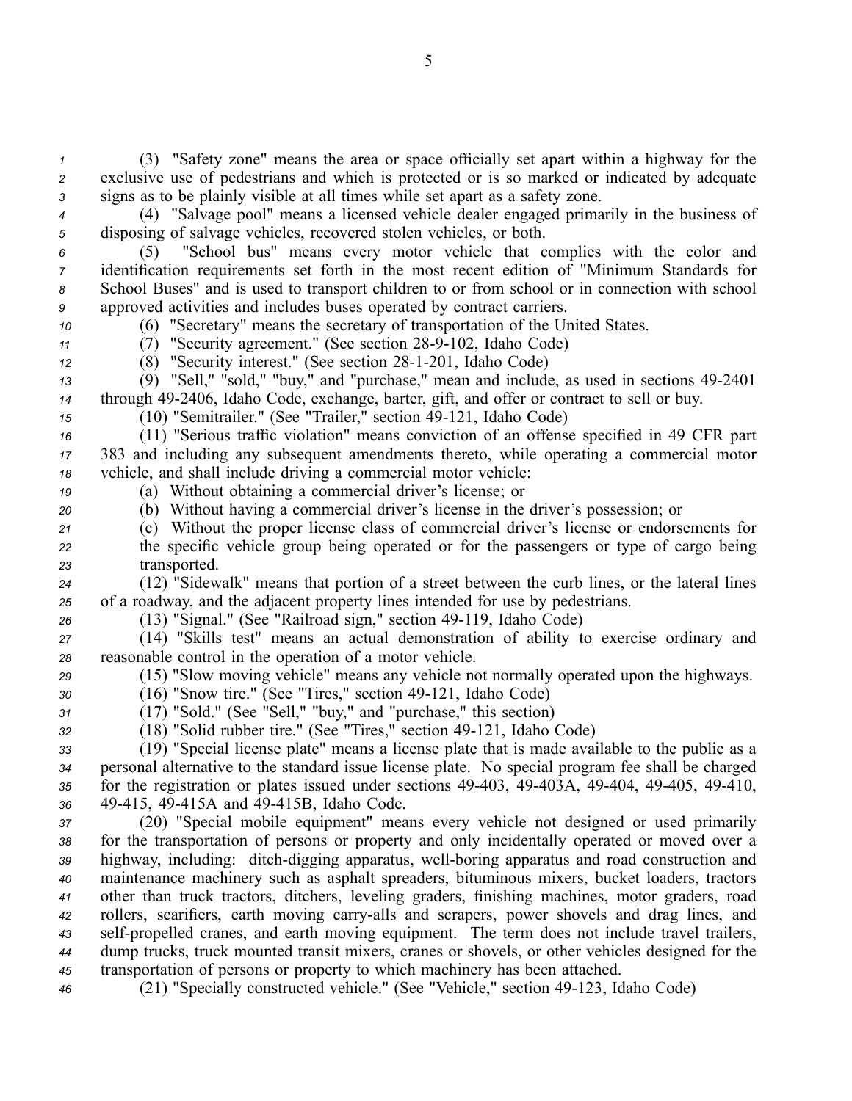*<sup>1</sup>* (3) "Safety zone" means the area or space officially set apar<sup>t</sup> within <sup>a</sup> highway for the *<sup>2</sup>* exclusive use of pedestrians and which is protected or is so marked or indicated by adequate *<sup>3</sup>* signs as to be plainly visible at all times while set apar<sup>t</sup> as <sup>a</sup> safety zone.

*<sup>4</sup>* (4) "Salvage pool" means <sup>a</sup> licensed vehicle dealer engaged primarily in the business of *<sup>5</sup>* disposing of salvage vehicles, recovered stolen vehicles, or both.

 (5) "School bus" means every motor vehicle that complies with the color and identification requirements set forth in the most recent edition of "Minimum Standards for School Buses" and is used to transport children to or from school or in connection with school approved activities and includes buses operated by contract carriers.

*<sup>10</sup>* (6) "Secretary" means the secretary of transportation of the United States.

*11* (7) "Security agreement." (See section 28-9-102, Idaho Code)

12 (8) "Security interest." (See section 28-1-201, Idaho Code)

*<sup>13</sup>* (9) "Sell," "sold," "buy," and "purchase," mean and include, as used in sections 492401 *<sup>14</sup>* through 492406, Idaho Code, exchange, barter, gift, and offer or contract to sell or buy.

*15* (10) "Semitrailer." (See "Trailer," section 49-121, Idaho Code)

*<sup>16</sup>* (11) "Serious traffic violation" means conviction of an offense specified in 49 CFR par<sup>t</sup> *<sup>17</sup>* 383 and including any subsequent amendments thereto, while operating <sup>a</sup> commercial motor *<sup>18</sup>* vehicle, and shall include driving <sup>a</sup> commercial motor vehicle:

- *<sup>19</sup>* (a) Without obtaining <sup>a</sup> commercial driver's license; or
- *<sup>20</sup>* (b) Without having <sup>a</sup> commercial driver's license in the driver's possession; or
- *<sup>21</sup>* (c) Without the proper license class of commercial driver's license or endorsements for *<sup>22</sup>* the specific vehicle group being operated or for the passengers or type of cargo being *<sup>23</sup>* transported.

*<sup>24</sup>* (12) "Sidewalk" means that portion of <sup>a</sup> street between the curb lines, or the lateral lines *<sup>25</sup>* of <sup>a</sup> roadway, and the adjacent property lines intended for use by pedestrians.

*<sup>26</sup>* (13) "Signal." (See "Railroad sign," section 49119, Idaho Code)

*<sup>27</sup>* (14) "Skills test" means an actual demonstration of ability to exercise ordinary and *<sup>28</sup>* reasonable control in the operation of <sup>a</sup> motor vehicle.

*<sup>29</sup>* (15) "Slow moving vehicle" means any vehicle not normally operated upon the highways.

*30* (16) "Snow tire." (See "Tires," section 49-121, Idaho Code)

*<sup>31</sup>* (17) "Sold." (See "Sell," "buy," and "purchase," this section)

*<sup>32</sup>* (18) "Solid rubber tire." (See "Tires," section 49121, Idaho Code)

 (19) "Special license plate" means <sup>a</sup> license plate that is made available to the public as <sup>a</sup> personal alternative to the standard issue license plate. No special program fee shall be charged 35 for the registration or plates issued under sections 49-403, 49-403A, 49-404, 49-405, 49-410, 49415, 49415A and 49415B, Idaho Code.

 (20) "Special mobile equipment" means every vehicle not designed or used primarily for the transportation of persons or property and only incidentally operated or moved over <sup>a</sup> 39 highway, including: ditch-digging apparatus, well-boring apparatus and road construction and maintenance machinery such as asphalt spreaders, bituminous mixers, bucket loaders, tractors other than truck tractors, ditchers, leveling graders, finishing machines, motor graders, road rollers, scarifiers, earth moving carry-alls and scrapers, power shovels and drag lines, and 43 self-propelled cranes, and earth moving equipment. The term does not include travel trailers, dump trucks, truck mounted transit mixers, cranes or shovels, or other vehicles designed for the transportation of persons or property to which machinery has been attached.

*<sup>46</sup>* (21) "Specially constructed vehicle." (See "Vehicle," section 49123, Idaho Code)

5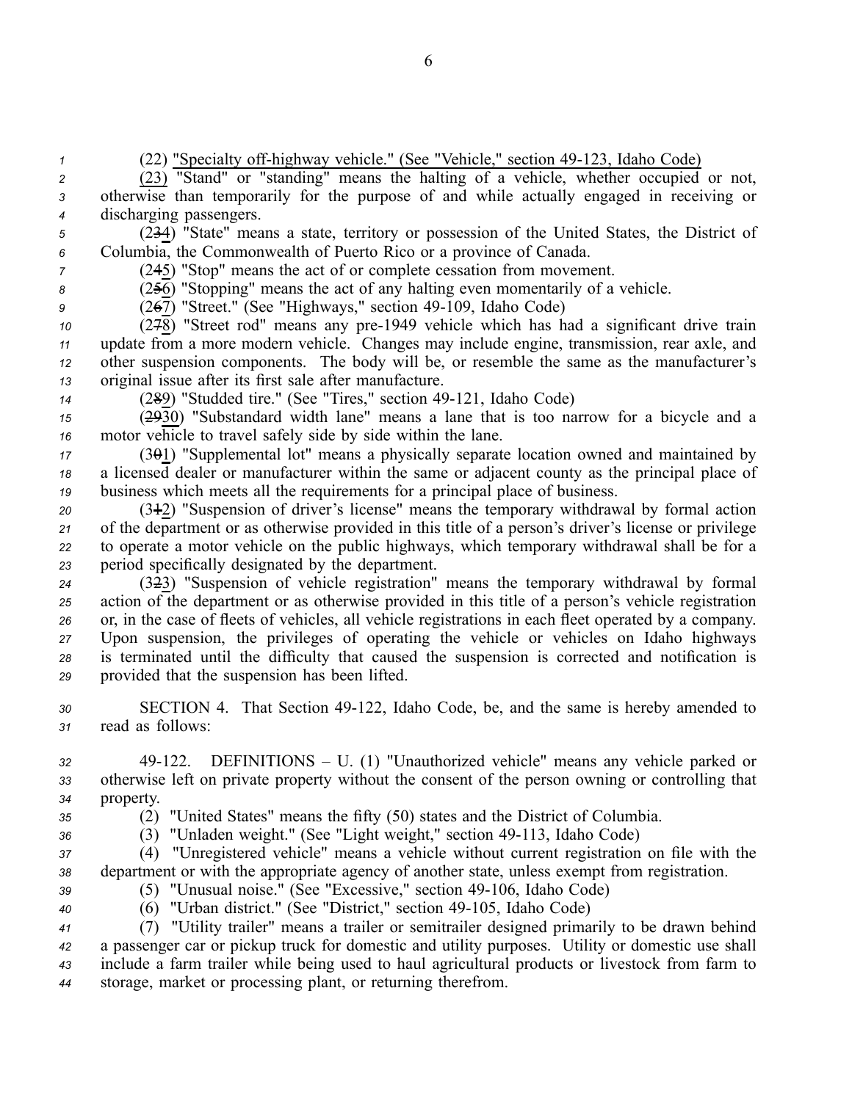<sup>1</sup> (22) "Specialty off-highway vehicle." (See "Vehicle," section 49-123, Idaho Code) (23) "Stand" or "standing" means the halting of <sup>a</sup> vehicle, whether occupied or not, otherwise than temporarily for the purpose of and while actually engaged in receiving or discharging passengers. (234) "State" means <sup>a</sup> state, territory or possession of the United States, the District of Columbia, the Commonwealth of Puerto Rico or <sup>a</sup> province of Canada. (245) "Stop" means the act of or complete cessation from movement. (256) "Stopping" means the act of any halting even momentarily of <sup>a</sup> vehicle. 9 (2<del>6</del>7) "Street." (See "Highways," section 49-109, Idaho Code) (278) "Street rod" means any pre1949 vehicle which has had <sup>a</sup> significant drive train update from <sup>a</sup> more modern vehicle. Changes may include engine, transmission, rear axle, and other suspension components. The body will be, or resemble the same as the manufacturer's original issue after its first sale after manufacture. (289) "Studded tire." (See "Tires," section 49-121, Idaho Code) (2930) "Substandard width lane" means <sup>a</sup> lane that is too narrow for <sup>a</sup> bicycle and <sup>a</sup> motor vehicle to travel safely side by side within the lane. (301) "Supplemental lot" means <sup>a</sup> physically separate location owned and maintained by <sup>a</sup> licensed dealer or manufacturer within the same or adjacent county as the principal place of business which meets all the requirements for <sup>a</sup> principal place of business. (312) "Suspension of driver's license" means the temporary withdrawal by formal action of the department or as otherwise provided in this title of <sup>a</sup> person's driver's license or privilege to operate <sup>a</sup> motor vehicle on the public highways, which temporary withdrawal shall be for <sup>a</sup> period specifically designated by the department. (323) "Suspension of vehicle registration" means the temporary withdrawal by formal action of the department or as otherwise provided in this title of <sup>a</sup> person's vehicle registration or, in the case of fleets of vehicles, all vehicle registrations in each fleet operated by <sup>a</sup> company. Upon suspension, the privileges of operating the vehicle or vehicles on Idaho highways is terminated until the difficulty that caused the suspension is corrected and notification is provided that the suspension has been lifted. SECTION 4. That Section 49122, Idaho Code, be, and the same is hereby amended to read as follows: 49122. DEFINITIONS – U. (1) "Unauthorized vehicle" means any vehicle parked or otherwise left on private property without the consent of the person owning or controlling that property. (2) "United States" means the fifty (50) states and the District of Columbia. (3) "Unladen weight." (See "Light weight," section 49113, Idaho Code) (4) "Unregistered vehicle" means <sup>a</sup> vehicle without current registration on file with the department or with the appropriate agency of another state, unless exemp<sup>t</sup> from registration. (5) "Unusual noise." (See "Excessive," section 49106, Idaho Code)

*<sup>40</sup>* (6) "Urban district." (See "District," section 49105, Idaho Code)

 (7) "Utility trailer" means <sup>a</sup> trailer or semitrailer designed primarily to be drawn behind <sup>a</sup> passenger car or pickup truck for domestic and utility purposes. Utility or domestic use shall include <sup>a</sup> farm trailer while being used to haul agricultural products or livestock from farm to storage, market or processing plant, or returning therefrom.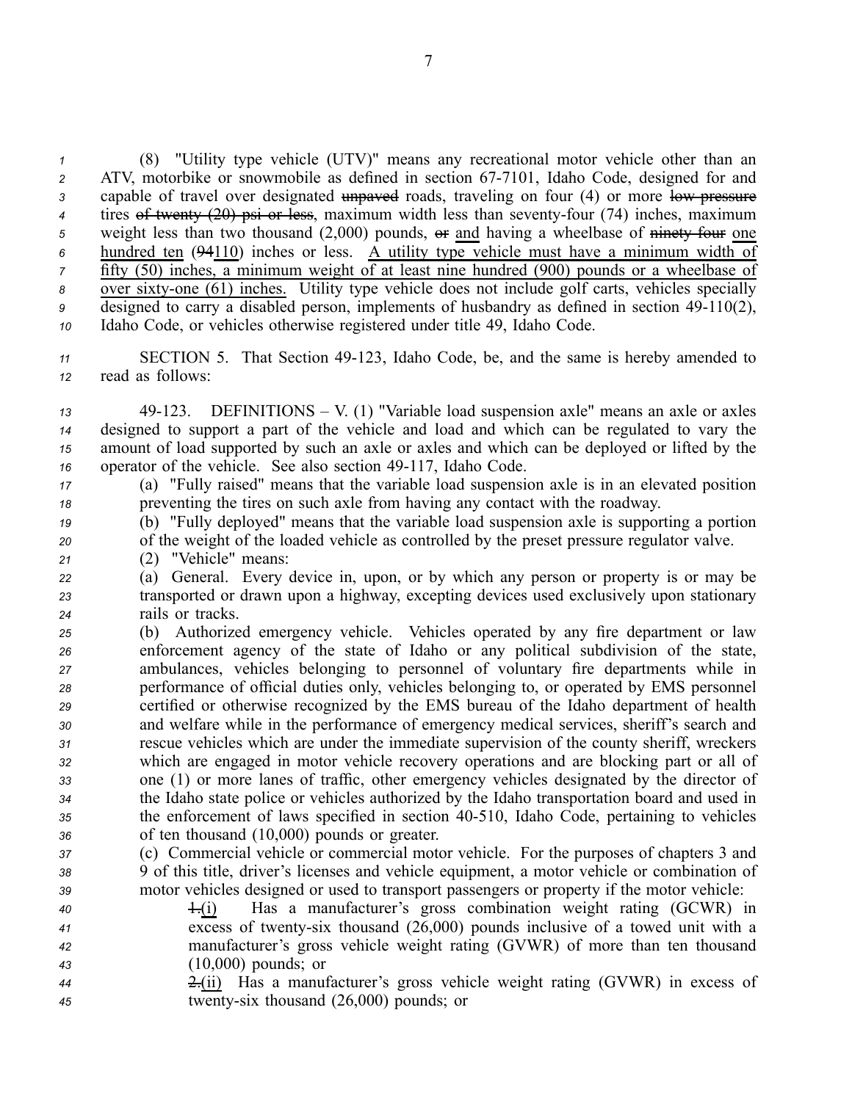*<sup>1</sup>* (8) "Utility type vehicle (UTV)" means any recreational motor vehicle other than an *<sup>2</sup>* ATV, motorbike or snowmobile as defined in section 677101, Idaho Code, designed for and 3 capable of travel over designated unpaved roads, traveling on four (4) or more low pressure *4* tires of twenty (20) psi or less, maximum width less than seventy-four (74) inches, maximum  $\frac{1}{2}$  weight less than two thousand (2,000) pounds,  $\frac{1}{2}$  and having a wheelbase of ninety-four one *<sup>6</sup>* hundred ten (94110) inches or less. A utility type vehicle must have <sup>a</sup> minimum width of *<sup>7</sup>* fifty (50) inches, <sup>a</sup> minimum weight of at least nine hundred (900) pounds or <sup>a</sup> wheelbase of 8 over sixty-one (61) inches. Utility type vehicle does not include golf carts, vehicles specially <sup>9</sup> designed to carry a disabled person, implements of husbandry as defined in section 49-110(2), *<sup>10</sup>* Idaho Code, or vehicles otherwise registered under title 49, Idaho Code.

- 11 SECTION 5. That Section 49-123, Idaho Code, be, and the same is hereby amended to *<sup>12</sup>* read as follows:
- *<sup>13</sup>* 49123. DEFINITIONS V. (1) "Variable load suspension axle" means an axle or axles *<sup>14</sup>* designed to suppor<sup>t</sup> <sup>a</sup> par<sup>t</sup> of the vehicle and load and which can be regulated to vary the *<sup>15</sup>* amount of load supported by such an axle or axles and which can be deployed or lifted by the 16 operator of the vehicle. See also section 49-117, Idaho Code.
- *<sup>17</sup>* (a) "Fully raised" means that the variable load suspension axle is in an elevated position *<sup>18</sup>* preventing the tires on such axle from having any contact with the roadway.
- *<sup>19</sup>* (b) "Fully deployed" means that the variable load suspension axle is supporting <sup>a</sup> portion *<sup>20</sup>* of the weight of the loaded vehicle as controlled by the prese<sup>t</sup> pressure regulator valve.
- *<sup>21</sup>* (2) "Vehicle" means:
- *<sup>22</sup>* (a) General. Every device in, upon, or by which any person or property is or may be *<sup>23</sup>* transported or drawn upon <sup>a</sup> highway, excepting devices used exclusively upon stationary *<sup>24</sup>* rails or tracks.
- *<sup>25</sup>* (b) Authorized emergency vehicle. Vehicles operated by any fire department or law *<sup>26</sup>* enforcement agency of the state of Idaho or any political subdivision of the state, *<sup>27</sup>* ambulances, vehicles belonging to personnel of voluntary fire departments while in *<sup>28</sup>* performance of official duties only, vehicles belonging to, or operated by EMS personnel *<sup>29</sup>* certified or otherwise recognized by the EMS bureau of the Idaho department of health *<sup>30</sup>* and welfare while in the performance of emergency medical services, sheriff's search and *<sup>31</sup>* rescue vehicles which are under the immediate supervision of the county sheriff, wreckers *<sup>32</sup>* which are engaged in motor vehicle recovery operations and are blocking par<sup>t</sup> or all of *<sup>33</sup>* one (1) or more lanes of traffic, other emergency vehicles designated by the director of *<sup>34</sup>* the Idaho state police or vehicles authorized by the Idaho transportation board and used in *<sup>35</sup>* the enforcement of laws specified in section 40510, Idaho Code, pertaining to vehicles *<sup>36</sup>* of ten thousand (10,000) pounds or greater.
- *<sup>37</sup>* (c) Commercial vehicle or commercial motor vehicle. For the purposes of chapters 3 and *<sup>38</sup>* 9 of this title, driver's licenses and vehicle equipment, <sup>a</sup> motor vehicle or combination of *<sup>39</sup>* motor vehicles designed or used to transport passengers or property if the motor vehicle:
- *<sup>40</sup>* 1.(i) Has <sup>a</sup> manufacturer's gross combination weight rating (GCWR) in *<sup>41</sup>* excess of twentysix thousand (26,000) pounds inclusive of <sup>a</sup> towed unit with <sup>a</sup> *<sup>42</sup>* manufacturer's gross vehicle weight rating (GVWR) of more than ten thousand *<sup>43</sup>* (10,000) pounds; or
- *<sup>44</sup>* 2.(ii) Has <sup>a</sup> manufacturer's gross vehicle weight rating (GVWR) in excess of *<sup>45</sup>* twentysix thousand (26,000) pounds; or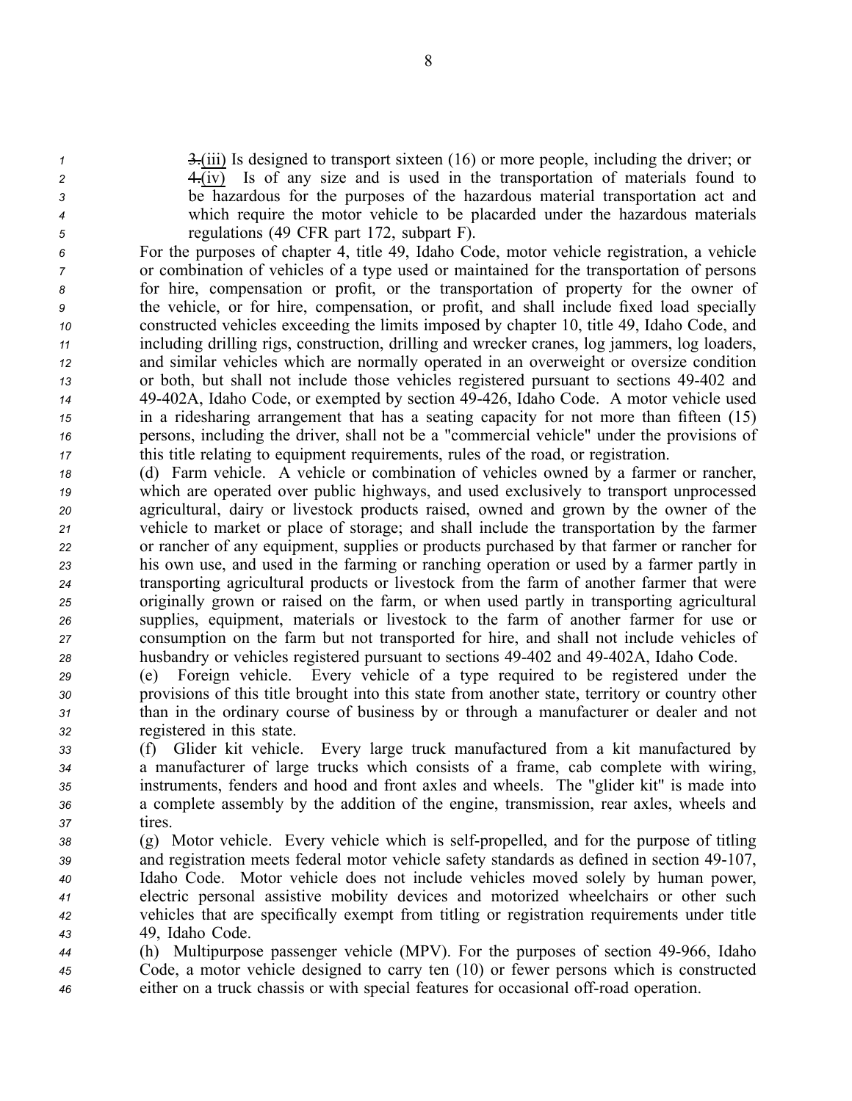- 
- 

 3.(iii) Is designed to transport sixteen (16) or more people, including the driver; or 4.(iv) Is of any size and is used in the transportation of materials found to be hazardous for the purposes of the hazardous material transportation act and which require the motor vehicle to be placarded under the hazardous materials regulations (49 CFR par<sup>t</sup> 172, subpart F).

 For the purposes of chapter 4, title 49, Idaho Code, motor vehicle registration, <sup>a</sup> vehicle or combination of vehicles of <sup>a</sup> type used or maintained for the transportation of persons for hire, compensation or profit, or the transportation of property for the owner of the vehicle, or for hire, compensation, or profit, and shall include fixed load specially constructed vehicles exceeding the limits imposed by chapter 10, title 49, Idaho Code, and including drilling rigs, construction, drilling and wrecker cranes, log jammers, log loaders, and similar vehicles which are normally operated in an overweight or oversize condition or both, but shall not include those vehicles registered pursuan<sup>t</sup> to sections 49402 and 49402A, Idaho Code, or exempted by section 49426, Idaho Code. A motor vehicle used in <sup>a</sup> ridesharing arrangemen<sup>t</sup> that has <sup>a</sup> seating capacity for not more than fifteen (15) persons, including the driver, shall not be <sup>a</sup> "commercial vehicle" under the provisions of this title relating to equipment requirements, rules of the road, or registration.

- *<sup>18</sup>* (d) Farm vehicle. A vehicle or combination of vehicles owned by <sup>a</sup> farmer or rancher, *<sup>19</sup>* which are operated over public highways, and used exclusively to transport unprocessed *<sup>20</sup>* agricultural, dairy or livestock products raised, owned and grown by the owner of the *<sup>21</sup>* vehicle to market or place of storage; and shall include the transportation by the farmer *<sup>22</sup>* or rancher of any equipment, supplies or products purchased by that farmer or rancher for *<sup>23</sup>* his own use, and used in the farming or ranching operation or used by <sup>a</sup> farmer partly in *<sup>24</sup>* transporting agricultural products or livestock from the farm of another farmer that were *<sup>25</sup>* originally grown or raised on the farm, or when used partly in transporting agricultural *<sup>26</sup>* supplies, equipment, materials or livestock to the farm of another farmer for use or *<sup>27</sup>* consumption on the farm but not transported for hire, and shall not include vehicles of *<sup>28</sup>* husbandry or vehicles registered pursuan<sup>t</sup> to sections 49402 and 49402A, Idaho Code.
- *<sup>29</sup>* (e) Foreign vehicle. Every vehicle of <sup>a</sup> type required to be registered under the *<sup>30</sup>* provisions of this title brought into this state from another state, territory or country other *<sup>31</sup>* than in the ordinary course of business by or through <sup>a</sup> manufacturer or dealer and not *<sup>32</sup>* registered in this state.
- *<sup>33</sup>* (f) Glider kit vehicle. Every large truck manufactured from <sup>a</sup> kit manufactured by *<sup>34</sup>* <sup>a</sup> manufacturer of large trucks which consists of <sup>a</sup> frame, cab complete with wiring, *<sup>35</sup>* instruments, fenders and hood and front axles and wheels. The "glider kit" is made into *<sup>36</sup>* <sup>a</sup> complete assembly by the addition of the engine, transmission, rear axles, wheels and *<sup>37</sup>* tires.
- *38* (g) Motor vehicle. Every vehicle which is self-propelled, and for the purpose of titling <sup>39</sup> and registration meets federal motor vehicle safety standards as defined in section 49-107, *<sup>40</sup>* Idaho Code. Motor vehicle does not include vehicles moved solely by human power, *<sup>41</sup>* electric personal assistive mobility devices and motorized wheelchairs or other such *<sup>42</sup>* vehicles that are specifically exemp<sup>t</sup> from titling or registration requirements under title *<sup>43</sup>* 49, Idaho Code.
- 44 (h) Multipurpose passenger vehicle (MPV). For the purposes of section 49-966, Idaho *<sup>45</sup>* Code, <sup>a</sup> motor vehicle designed to carry ten (10) or fewer persons which is constructed *<sup>46</sup>* either on <sup>a</sup> truck chassis or with special features for occasional offroad operation.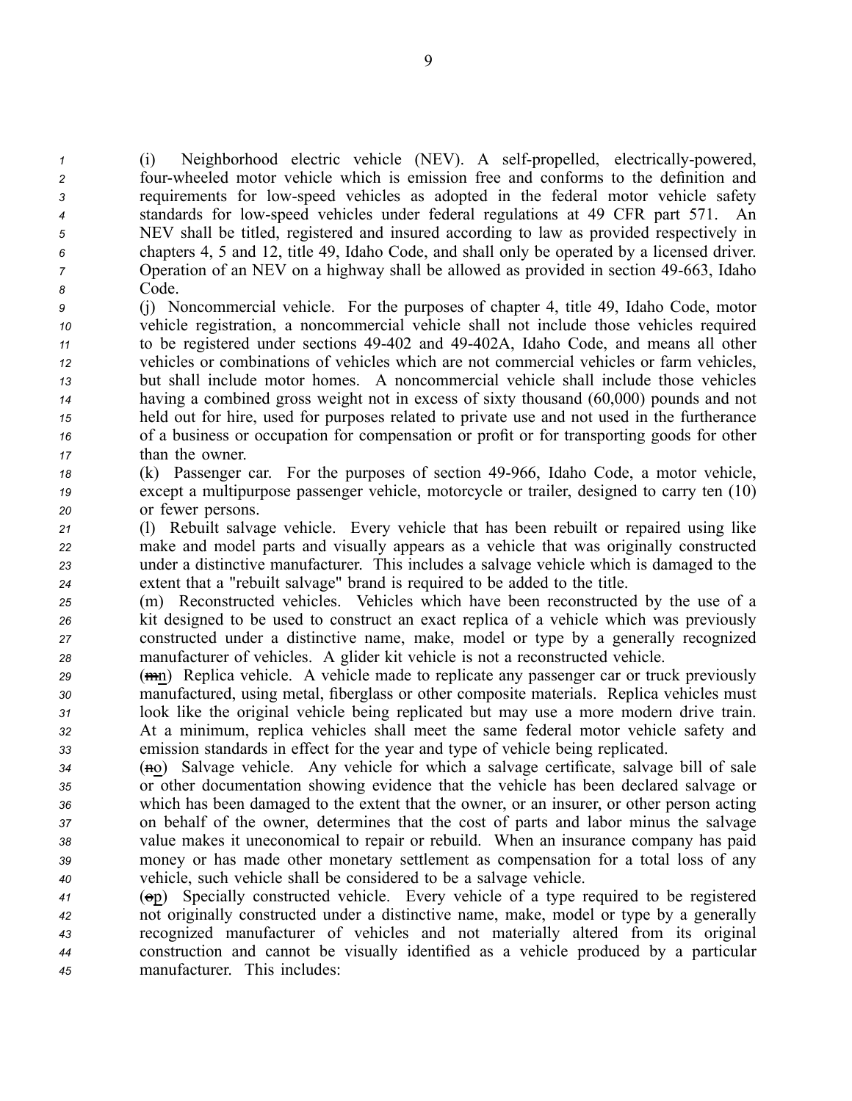(i) Neighborhood electric vehicle (NEV). A self-propelled, electrically-powered, fourwheeled motor vehicle which is emission free and conforms to the definition and requirements for lowspeed vehicles as adopted in the federal motor vehicle safety standards for lowspeed vehicles under federal regulations at 49 CFR par<sup>t</sup> 571. An NEV shall be titled, registered and insured according to law as provided respectively in chapters 4, 5 and 12, title 49, Idaho Code, and shall only be operated by <sup>a</sup> licensed driver. Operation of an NEV on a highway shall be allowed as provided in section 49-663, Idaho *<sup>8</sup>* Code.

- *<sup>9</sup>* (j) Noncommercial vehicle. For the purposes of chapter 4, title 49, Idaho Code, motor *<sup>10</sup>* vehicle registration, <sup>a</sup> noncommercial vehicle shall not include those vehicles required *<sup>11</sup>* to be registered under sections 49402 and 49402A, Idaho Code, and means all other *<sup>12</sup>* vehicles or combinations of vehicles which are not commercial vehicles or farm vehicles, *<sup>13</sup>* but shall include motor homes. A noncommercial vehicle shall include those vehicles *<sup>14</sup>* having <sup>a</sup> combined gross weight not in excess of sixty thousand (60,000) pounds and not *<sup>15</sup>* held out for hire, used for purposes related to private use and not used in the furtherance *<sup>16</sup>* of <sup>a</sup> business or occupation for compensation or profit or for transporting goods for other *<sup>17</sup>* than the owner.
- *<sup>18</sup>* (k) Passenger car. For the purposes of section 49966, Idaho Code, <sup>a</sup> motor vehicle, *<sup>19</sup>* excep<sup>t</sup> <sup>a</sup> multipurpose passenger vehicle, motorcycle or trailer, designed to carry ten (10) *<sup>20</sup>* or fewer persons.
- *<sup>21</sup>* (l) Rebuilt salvage vehicle. Every vehicle that has been rebuilt or repaired using like *<sup>22</sup>* make and model parts and visually appears as <sup>a</sup> vehicle that was originally constructed *<sup>23</sup>* under <sup>a</sup> distinctive manufacturer. This includes <sup>a</sup> salvage vehicle which is damaged to the *<sup>24</sup>* extent that <sup>a</sup> "rebuilt salvage" brand is required to be added to the title.
- *<sup>25</sup>* (m) Reconstructed vehicles. Vehicles which have been reconstructed by the use of <sup>a</sup> *<sup>26</sup>* kit designed to be used to construct an exact replica of <sup>a</sup> vehicle which was previously *<sup>27</sup>* constructed under <sup>a</sup> distinctive name, make, model or type by <sup>a</sup> generally recognized *<sup>28</sup>* manufacturer of vehicles. A glider kit vehicle is not <sup>a</sup> reconstructed vehicle.
- *<sup>29</sup>* (mn) Replica vehicle. A vehicle made to replicate any passenger car or truck previously *<sup>30</sup>* manufactured, using metal, fiberglass or other composite materials. Replica vehicles must *<sup>31</sup>* look like the original vehicle being replicated but may use <sup>a</sup> more modern drive train. *<sup>32</sup>* At <sup>a</sup> minimum, replica vehicles shall meet the same federal motor vehicle safety and *<sup>33</sup>* emission standards in effect for the year and type of vehicle being replicated.
- *34* (**<del>n</del>**) Salvage vehicle. Any vehicle for which a salvage certificate, salvage bill of sale *<sup>35</sup>* or other documentation showing evidence that the vehicle has been declared salvage or *<sup>36</sup>* which has been damaged to the extent that the owner, or an insurer, or other person acting *<sup>37</sup>* on behalf of the owner, determines that the cost of parts and labor minus the salvage *<sup>38</sup>* value makes it uneconomical to repair or rebuild. When an insurance company has paid *<sup>39</sup>* money or has made other monetary settlement as compensation for <sup>a</sup> total loss of any *<sup>40</sup>* vehicle, such vehicle shall be considered to be <sup>a</sup> salvage vehicle.
- *<sup>41</sup>* (op) Specially constructed vehicle. Every vehicle of <sup>a</sup> type required to be registered *<sup>42</sup>* not originally constructed under <sup>a</sup> distinctive name, make, model or type by <sup>a</sup> generally *<sup>43</sup>* recognized manufacturer of vehicles and not materially altered from its original *<sup>44</sup>* construction and cannot be visually identified as <sup>a</sup> vehicle produced by <sup>a</sup> particular *<sup>45</sup>* manufacturer. This includes: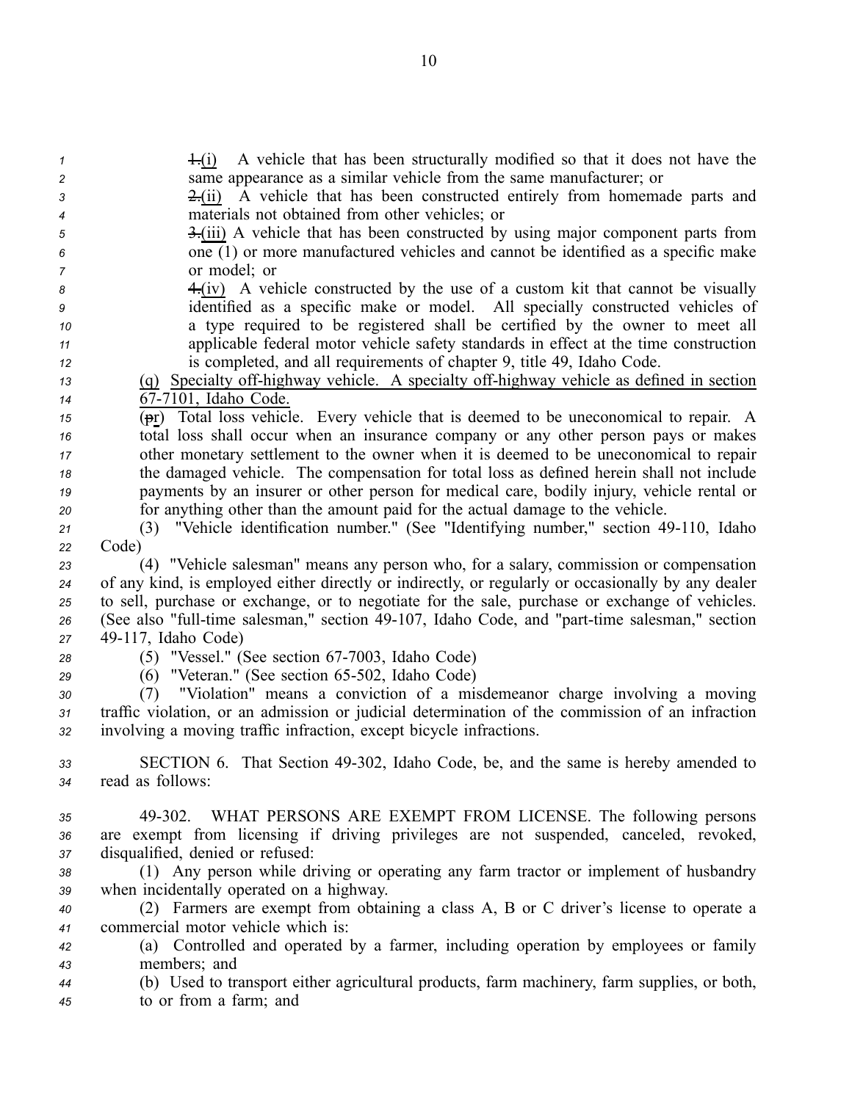same appearance as <sup>a</sup> similar vehicle from the same manufacturer; or 2.(ii) A vehicle that has been constructed entirely from homemade parts and materials not obtained from other vehicles; or 3.(iii) A vehicle that has been constructed by using major componen<sup>t</sup> parts from one (1) or more manufactured vehicles and cannot be identified as <sup>a</sup> specific make or model; or 4.(iv) A vehicle constructed by the use of <sup>a</sup> custom kit that cannot be visually identified as <sup>a</sup> specific make or model. All specially constructed vehicles of

*1* 1.(i) A vehicle that has been structurally modified so that it does not have the

- *<sup>10</sup>* <sup>a</sup> type required to be registered shall be certified by the owner to meet all *<sup>11</sup>* applicable federal motor vehicle safety standards in effect at the time construction *<sup>12</sup>* is completed, and all requirements of chapter 9, title 49, Idaho Code.
- 13 (q) Specialty off-highway vehicle. A specialty off-highway vehicle as defined in section 14 67-7101, Idaho Code.
- *<sup>15</sup>* (pr) Total loss vehicle. Every vehicle that is deemed to be uneconomical to repair. A *<sup>16</sup>* total loss shall occur when an insurance company or any other person pays or makes *<sup>17</sup>* other monetary settlement to the owner when it is deemed to be uneconomical to repair *<sup>18</sup>* the damaged vehicle. The compensation for total loss as defined herein shall not include *<sup>19</sup>* payments by an insurer or other person for medical care, bodily injury, vehicle rental or *<sup>20</sup>* for anything other than the amount paid for the actual damage to the vehicle.
- *<sup>21</sup>* (3) "Vehicle identification number." (See "Identifying number," section 49110, Idaho *<sup>22</sup>* Code)
- *<sup>23</sup>* (4) "Vehicle salesman" means any person who, for <sup>a</sup> salary, commission or compensation *<sup>24</sup>* of any kind, is employed either directly or indirectly, or regularly or occasionally by any dealer *<sup>25</sup>* to sell, purchase or exchange, or to negotiate for the sale, purchase or exchange of vehicles. 26 (See also "full-time salesman," section 49-107, Idaho Code, and "part-time salesman," section *<sup>27</sup>* 49117, Idaho Code)
- 
- *28* (5) "Vessel." (See section 67-7003, Idaho Code)
- *29* (6) "Veteran." (See section 65-502, Idaho Code)
- *<sup>30</sup>* (7) "Violation" means <sup>a</sup> conviction of <sup>a</sup> misdemeanor charge involving <sup>a</sup> moving *<sup>31</sup>* traffic violation, or an admission or judicial determination of the commission of an infraction *<sup>32</sup>* involving <sup>a</sup> moving traffic infraction, excep<sup>t</sup> bicycle infractions.
- *<sup>33</sup>* SECTION 6. That Section 49302, Idaho Code, be, and the same is hereby amended to *<sup>34</sup>* read as follows:
- *<sup>35</sup>* 49302. WHAT PERSONS ARE EXEMPT FROM LICENSE. The following persons *<sup>36</sup>* are exemp<sup>t</sup> from licensing if driving privileges are not suspended, canceled, revoked, *<sup>37</sup>* disqualified, denied or refused:
- *<sup>38</sup>* (1) Any person while driving or operating any farm tractor or implement of husbandry *<sup>39</sup>* when incidentally operated on <sup>a</sup> highway.
- *<sup>40</sup>* (2) Farmers are exemp<sup>t</sup> from obtaining <sup>a</sup> class A, B or C driver's license to operate <sup>a</sup> *<sup>41</sup>* commercial motor vehicle which is:
- *<sup>42</sup>* (a) Controlled and operated by <sup>a</sup> farmer, including operation by employees or family *<sup>43</sup>* members; and
- *<sup>44</sup>* (b) Used to transport either agricultural products, farm machinery, farm supplies, or both, *<sup>45</sup>* to or from <sup>a</sup> farm; and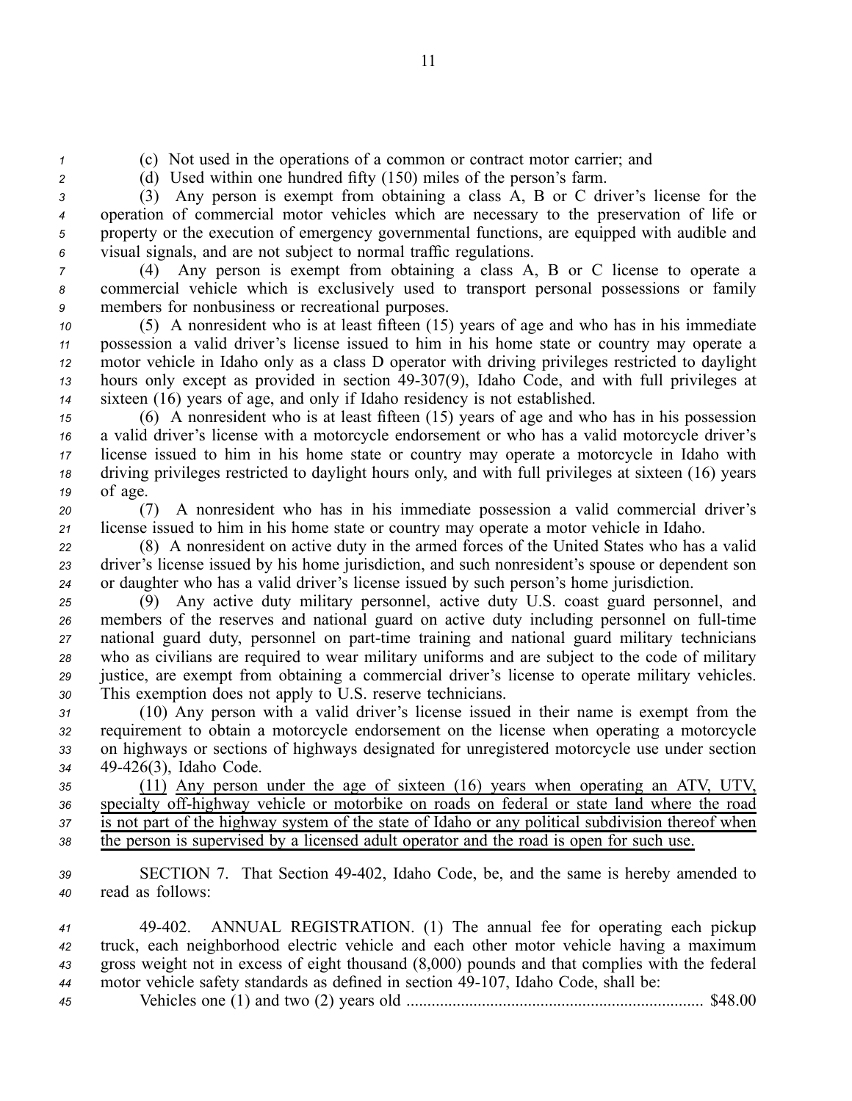*<sup>1</sup>* (c) Not used in the operations of <sup>a</sup> common or contract motor carrier; and

*<sup>2</sup>* (d) Used within one hundred fifty (150) miles of the person's farm.

 (3) Any person is exemp<sup>t</sup> from obtaining <sup>a</sup> class A, B or C driver's license for the operation of commercial motor vehicles which are necessary to the preservation of life or property or the execution of emergency governmental functions, are equipped with audible and visual signals, and are not subject to normal traffic regulations.

*<sup>7</sup>* (4) Any person is exemp<sup>t</sup> from obtaining <sup>a</sup> class A, B or C license to operate <sup>a</sup> *<sup>8</sup>* commercial vehicle which is exclusively used to transport personal possessions or family *<sup>9</sup>* members for nonbusiness or recreational purposes.

 (5) A nonresident who is at least fifteen (15) years of age and who has in his immediate possession <sup>a</sup> valid driver's license issued to him in his home state or country may operate <sup>a</sup> motor vehicle in Idaho only as <sup>a</sup> class D operator with driving privileges restricted to daylight hours only excep<sup>t</sup> as provided in section 49307(9), Idaho Code, and with full privileges at sixteen (16) years of age, and only if Idaho residency is not established.

 (6) A nonresident who is at least fifteen (15) years of age and who has in his possession <sup>a</sup> valid driver's license with <sup>a</sup> motorcycle endorsement or who has <sup>a</sup> valid motorcycle driver's license issued to him in his home state or country may operate <sup>a</sup> motorcycle in Idaho with driving privileges restricted to daylight hours only, and with full privileges at sixteen (16) years *<sup>19</sup>* of age.

*<sup>20</sup>* (7) A nonresident who has in his immediate possession <sup>a</sup> valid commercial driver's *<sup>21</sup>* license issued to him in his home state or country may operate <sup>a</sup> motor vehicle in Idaho.

*<sup>22</sup>* (8) A nonresident on active duty in the armed forces of the United States who has <sup>a</sup> valid *<sup>23</sup>* driver's license issued by his home jurisdiction, and such nonresident's spouse or dependent son *<sup>24</sup>* or daughter who has <sup>a</sup> valid driver's license issued by such person's home jurisdiction.

 (9) Any active duty military personnel, active duty U.S. coast guard personnel, and 26 members of the reserves and national guard on active duty including personnel on full-time 27 national guard duty, personnel on part-time training and national guard military technicians who as civilians are required to wear military uniforms and are subject to the code of military justice, are exemp<sup>t</sup> from obtaining <sup>a</sup> commercial driver's license to operate military vehicles. This exemption does not apply to U.S. reserve technicians.

 (10) Any person with <sup>a</sup> valid driver's license issued in their name is exemp<sup>t</sup> from the requirement to obtain <sup>a</sup> motorcycle endorsement on the license when operating <sup>a</sup> motorcycle on highways or sections of highways designated for unregistered motorcycle use under section 49426(3), Idaho Code.

 (11) Any person under the age of sixteen (16) years when operating an ATV, UTV, 36 specialty off-highway vehicle or motorbike on roads on federal or state land where the road is not par<sup>t</sup> of the highway system of the state of Idaho or any political subdivision thereof when the person is supervised by <sup>a</sup> licensed adult operator and the road is open for such use.

*<sup>39</sup>* SECTION 7. That Section 49402, Idaho Code, be, and the same is hereby amended to *<sup>40</sup>* read as follows:

 49402. ANNUAL REGISTRATION. (1) The annual fee for operating each pickup truck, each neighborhood electric vehicle and each other motor vehicle having <sup>a</sup> maximum gross weight not in excess of eight thousand (8,000) pounds and that complies with the federal motor vehicle safety standards as defined in section 49-107, Idaho Code, shall be:

*<sup>45</sup>* Vehicles one (1) and two (2) years old ....................................................................... \$48.00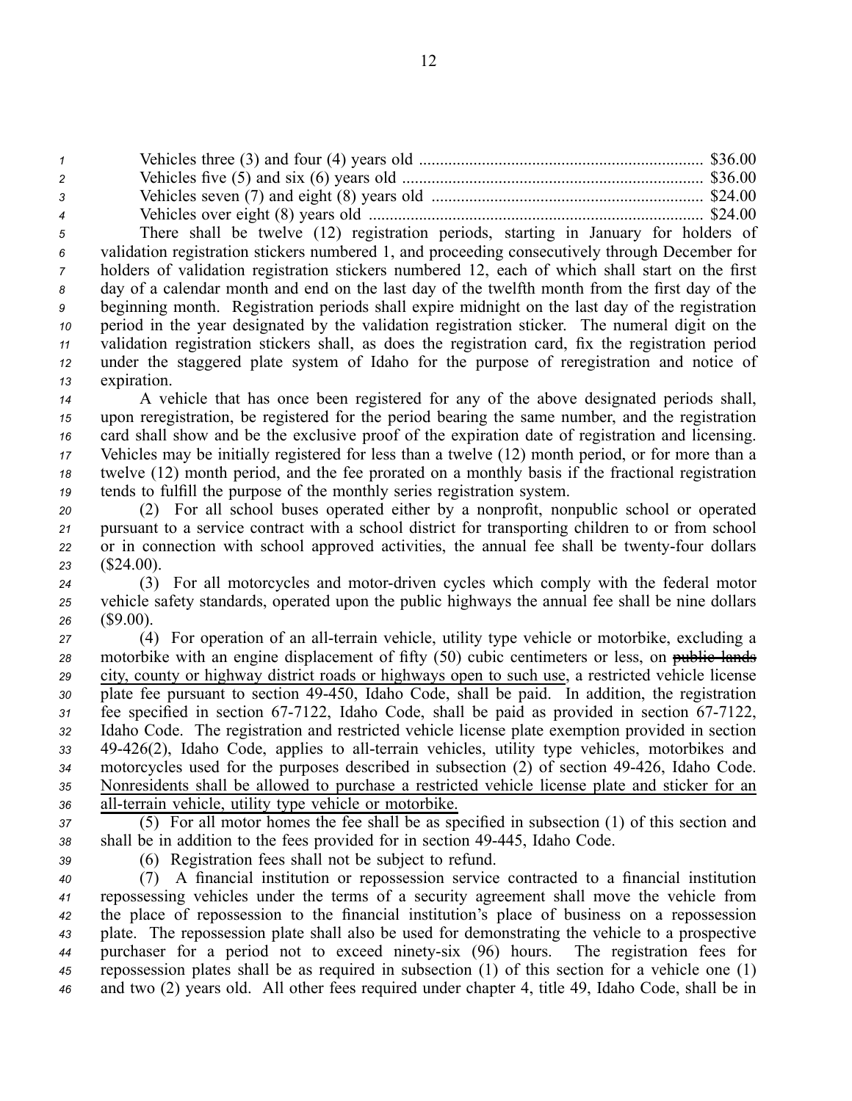Vehicles three (3) and four (4) years old .................................................................... \$36.00 Vehicles five (5) and six (6) years old ........................................................................ \$36.00 Vehicles seven (7) and eight (8) years old ................................................................. \$24.00 Vehicles over eight (8) years old ................................................................................ \$24.00

 There shall be twelve (12) registration periods, starting in January for holders of validation registration stickers numbered 1, and proceeding consecutively through December for holders of validation registration stickers numbered 12, each of which shall start on the first day of <sup>a</sup> calendar month and end on the last day of the twelfth month from the first day of the beginning month. Registration periods shall expire midnight on the last day of the registration period in the year designated by the validation registration sticker. The numeral digit on the validation registration stickers shall, as does the registration card, fix the registration period under the staggered plate system of Idaho for the purpose of reregistration and notice of expiration.

 A vehicle that has once been registered for any of the above designated periods shall, upon reregistration, be registered for the period bearing the same number, and the registration card shall show and be the exclusive proof of the expiration date of registration and licensing. Vehicles may be initially registered for less than <sup>a</sup> twelve (12) month period, or for more than <sup>a</sup> twelve (12) month period, and the fee prorated on <sup>a</sup> monthly basis if the fractional registration tends to fulfill the purpose of the monthly series registration system.

 (2) For all school buses operated either by <sup>a</sup> nonprofit, nonpublic school or operated pursuan<sup>t</sup> to <sup>a</sup> service contract with <sup>a</sup> school district for transporting children to or from school 22 or in connection with school approved activities, the annual fee shall be twenty-four dollars (\$24.00).

*<sup>24</sup>* (3) For all motorcycles and motordriven cycles which comply with the federal motor *<sup>25</sup>* vehicle safety standards, operated upon the public highways the annual fee shall be nine dollars *<sup>26</sup>* (\$9.00).

*27* (4) For operation of an all-terrain vehicle, utility type vehicle or motorbike, excluding a 28 motorbike with an engine displacement of fifty (50) cubic centimeters or less, on public lands *<sup>29</sup>* city, county or highway district roads or highways open to such use, <sup>a</sup> restricted vehicle license *<sup>30</sup>* plate fee pursuan<sup>t</sup> to section 49450, Idaho Code, shall be paid. In addition, the registration 31 fee specified in section 67-7122, Idaho Code, shall be paid as provided in section 67-7122, *<sup>32</sup>* Idaho Code. The registration and restricted vehicle license plate exemption provided in section 33 49-426(2), Idaho Code, applies to all-terrain vehicles, utility type vehicles, motorbikes and *<sup>34</sup>* motorcycles used for the purposes described in subsection (2) of section 49426, Idaho Code. *<sup>35</sup>* Nonresidents shall be allowed to purchase <sup>a</sup> restricted vehicle license plate and sticker for an 36 all-terrain vehicle, utility type vehicle or motorbike.

*<sup>37</sup>* (5) For all motor homes the fee shall be as specified in subsection (1) of this section and *<sup>38</sup>* shall be in addition to the fees provided for in section 49445, Idaho Code.

*<sup>39</sup>* (6) Registration fees shall not be subject to refund.

 (7) A financial institution or repossession service contracted to <sup>a</sup> financial institution repossessing vehicles under the terms of <sup>a</sup> security agreemen<sup>t</sup> shall move the vehicle from the place of repossession to the financial institution's place of business on <sup>a</sup> repossession plate. The repossession plate shall also be used for demonstrating the vehicle to <sup>a</sup> prospective purchaser for <sup>a</sup> period not to exceed ninetysix (96) hours. The registration fees for repossession plates shall be as required in subsection (1) of this section for <sup>a</sup> vehicle one (1) and two (2) years old. All other fees required under chapter 4, title 49, Idaho Code, shall be in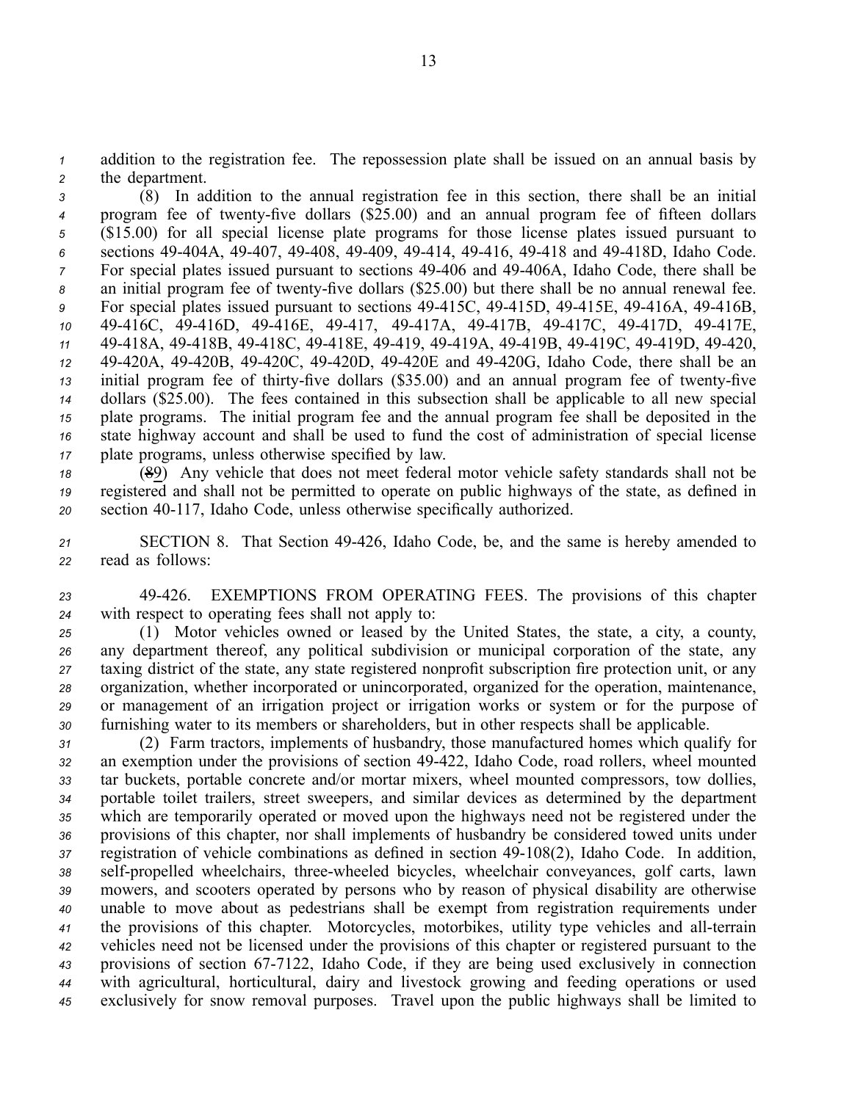*<sup>1</sup>* addition to the registration fee. The repossession plate shall be issued on an annual basis by *<sup>2</sup>* the department.

 (8) In addition to the annual registration fee in this section, there shall be an initial <sup>4</sup> program fee of twenty-five dollars (\$25.00) and an annual program fee of fifteen dollars (\$15.00) for all special license plate programs for those license plates issued pursuan<sup>t</sup> to sections 49404A, 49407, 49408, 49409, 49414, 49416, 49418 and 49418D, Idaho Code. For special plates issued pursuant to sections 49-406 and 49-406A, Idaho Code, there shall be 8 an initial program fee of twenty-five dollars (\$25.00) but there shall be no annual renewal fee. For special plates issued pursuan<sup>t</sup> to sections 49415C, 49415D, 49415E, 49416A, 49416B, 49416C, 49416D, 49416E, 49417, 49417A, 49417B, 49417C, 49417D, 49417E, 49418A, 49418B, 49418C, 49418E, 49419, 49419A, 49419B, 49419C, 49419D, 49420, 49420A, 49420B, 49420C, 49420D, 49420E and 49420G, Idaho Code, there shall be an initial program fee of thirty-five dollars (\$35.00) and an annual program fee of twenty-five dollars (\$25.00). The fees contained in this subsection shall be applicable to all new special plate programs. The initial program fee and the annual program fee shall be deposited in the state highway account and shall be used to fund the cost of administration of special license plate programs, unless otherwise specified by law.

*<sup>18</sup>* (89) Any vehicle that does not meet federal motor vehicle safety standards shall not be *<sup>19</sup>* registered and shall not be permitted to operate on public highways of the state, as defined in *<sup>20</sup>* section 40117, Idaho Code, unless otherwise specifically authorized.

*<sup>21</sup>* SECTION 8. That Section 49426, Idaho Code, be, and the same is hereby amended to *<sup>22</sup>* read as follows:

*<sup>23</sup>* 49426. EXEMPTIONS FROM OPERATING FEES. The provisions of this chapter *<sup>24</sup>* with respec<sup>t</sup> to operating fees shall not apply to:

 (1) Motor vehicles owned or leased by the United States, the state, <sup>a</sup> city, <sup>a</sup> county, any department thereof, any political subdivision or municipal corporation of the state, any taxing district of the state, any state registered nonprofit subscription fire protection unit, or any organization, whether incorporated or unincorporated, organized for the operation, maintenance, or managemen<sup>t</sup> of an irrigation project or irrigation works or system or for the purpose of furnishing water to its members or shareholders, but in other respects shall be applicable.

 (2) Farm tractors, implements of husbandry, those manufactured homes which qualify for an exemption under the provisions of section 49422, Idaho Code, road rollers, wheel mounted tar buckets, portable concrete and/or mortar mixers, wheel mounted compressors, tow dollies, portable toilet trailers, street sweepers, and similar devices as determined by the department which are temporarily operated or moved upon the highways need not be registered under the provisions of this chapter, nor shall implements of husbandry be considered towed units under registration of vehicle combinations as defined in section 49-108(2), Idaho Code. In addition, 38 self-propelled wheelchairs, three-wheeled bicycles, wheelchair conveyances, golf carts, lawn mowers, and scooters operated by persons who by reason of physical disability are otherwise unable to move about as pedestrians shall be exemp<sup>t</sup> from registration requirements under the provisions of this chapter. Motorcycles, motorbikes, utility type vehicles and all-terrain vehicles need not be licensed under the provisions of this chapter or registered pursuan<sup>t</sup> to the 43 provisions of section 67-7122, Idaho Code, if they are being used exclusively in connection with agricultural, horticultural, dairy and livestock growing and feeding operations or used exclusively for snow removal purposes. Travel upon the public highways shall be limited to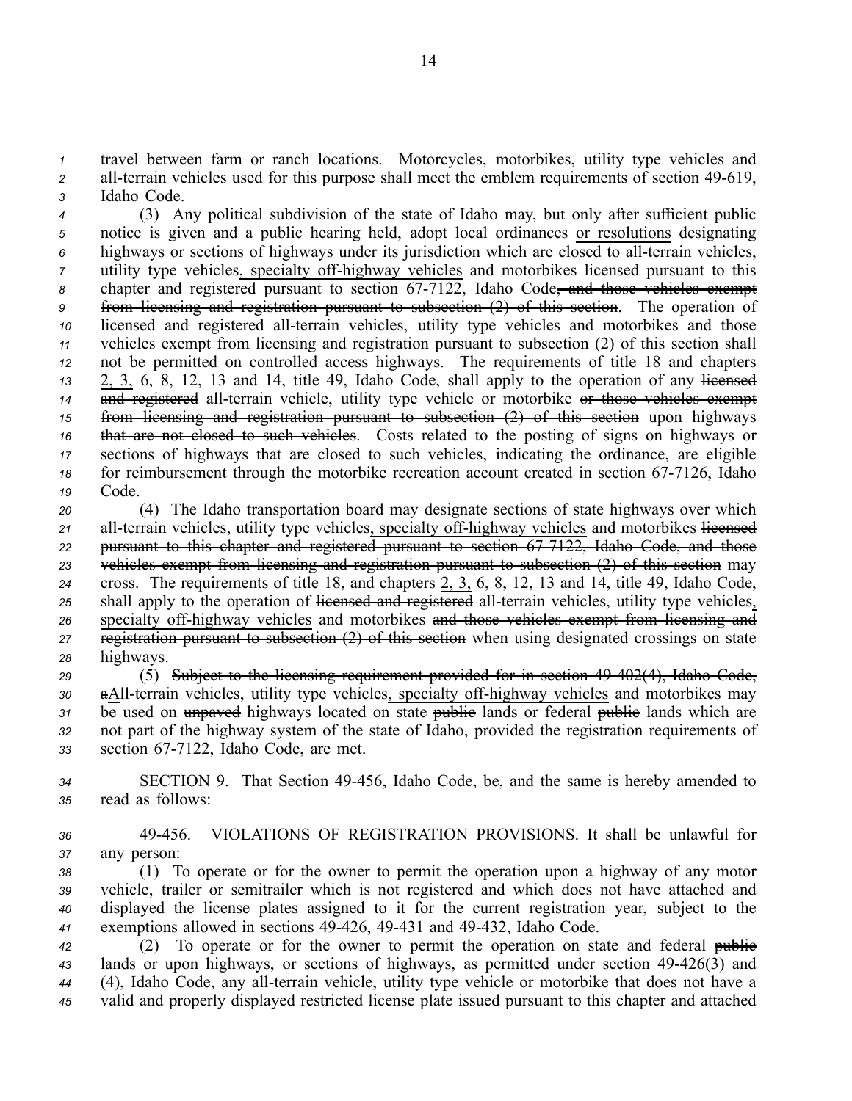*<sup>1</sup>* travel between farm or ranch locations. Motorcycles, motorbikes, utility type vehicles and 2 all-terrain vehicles used for this purpose shall meet the emblem requirements of section 49-619, *<sup>3</sup>* Idaho Code.

 (3) Any political subdivision of the state of Idaho may, but only after sufficient public notice is given and <sup>a</sup> public hearing held, adopt local ordinances or resolutions designating highways or sections of highways under its jurisdiction which are closed to all-terrain vehicles, utility type vehicles, specialty of f-highway vehicles and motorbikes licensed pursuant to this 8 chapter and registered pursuant to section 67-7122, Idaho Code<del>, and those vehicles exempt</del> from licensing and registration pursuan<sup>t</sup> to subsection (2) of this section. The operation of licensed and registered all-terrain vehicles, utility type vehicles and motorbikes and those vehicles exemp<sup>t</sup> from licensing and registration pursuan<sup>t</sup> to subsection (2) of this section shall not be permitted on controlled access highways. The requirements of title 18 and chapters 2, 3, 6, 8, 12, 13 and 14, title 49, Idaho Code, shall apply to the operation of any licensed and registered all-terrain vehicle, utility type vehicle or motorbike or those vehicles exempt from licensing and registration pursuan<sup>t</sup> to subsection (2) of this section upon highways that are not closed to such vehicles. Costs related to the posting of signs on highways or sections of highways that are closed to such vehicles, indicating the ordinance, are eligible 18 for reimbursement through the motorbike recreation account created in section 67-7126, Idaho *<sup>19</sup>* Code.

 (4) The Idaho transportation board may designate sections of state highways over which 21 all-terrain vehicles, utility type vehicles, specialty off-highway vehicles and motorbikes licensed pursuan<sup>t</sup> to this chapter and registered pursuan<sup>t</sup> to section 677122, Idaho Code, and those vehicles exemp<sup>t</sup> from licensing and registration pursuan<sup>t</sup> to subsection (2) of this section may cross. The requirements of title 18, and chapters 2, 3, 6, 8, 12, 13 and 14, title 49, Idaho Code, 25 shall apply to the operation of licensed and registered all-terrain vehicles, utility type vehicles, 26 specialty off-highway vehicles and motorbikes and those vehicles exempt from licensing and registration pursuan<sup>t</sup> to subsection (2) of this section when using designated crossings on state highways.

*<sup>29</sup>* (5) Subject to the licensing requirement provided for in section 49402(4), Idaho Code, 30 aAll-terrain vehicles, utility type vehicles, specialty off-highway vehicles and motorbikes may 31 be used on unpaved highways located on state publice lands or federal public lands which are *<sup>32</sup>* not par<sup>t</sup> of the highway system of the state of Idaho, provided the registration requirements of 33 section 67-7122, Idaho Code, are met.

*<sup>34</sup>* SECTION 9. That Section 49456, Idaho Code, be, and the same is hereby amended to *<sup>35</sup>* read as follows:

*<sup>36</sup>* 49456. VIOLATIONS OF REGISTRATION PROVISIONS. It shall be unlawful for *37* any person:

 (1) To operate or for the owner to permit the operation upon <sup>a</sup> highway of any motor vehicle, trailer or semitrailer which is not registered and which does not have attached and displayed the license plates assigned to it for the current registration year, subject to the exemptions allowed in sections 49426, 49431 and 49432, Idaho Code.

*<sup>42</sup>* (2) To operate or for the owner to permit the operation on state and federal public 43 lands or upon highways, or sections of highways, as permitted under section 49-426(3) and 44 (4), Idaho Code, any all-terrain vehicle, utility type vehicle or motorbike that does not have a *<sup>45</sup>* valid and properly displayed restricted license plate issued pursuan<sup>t</sup> to this chapter and attached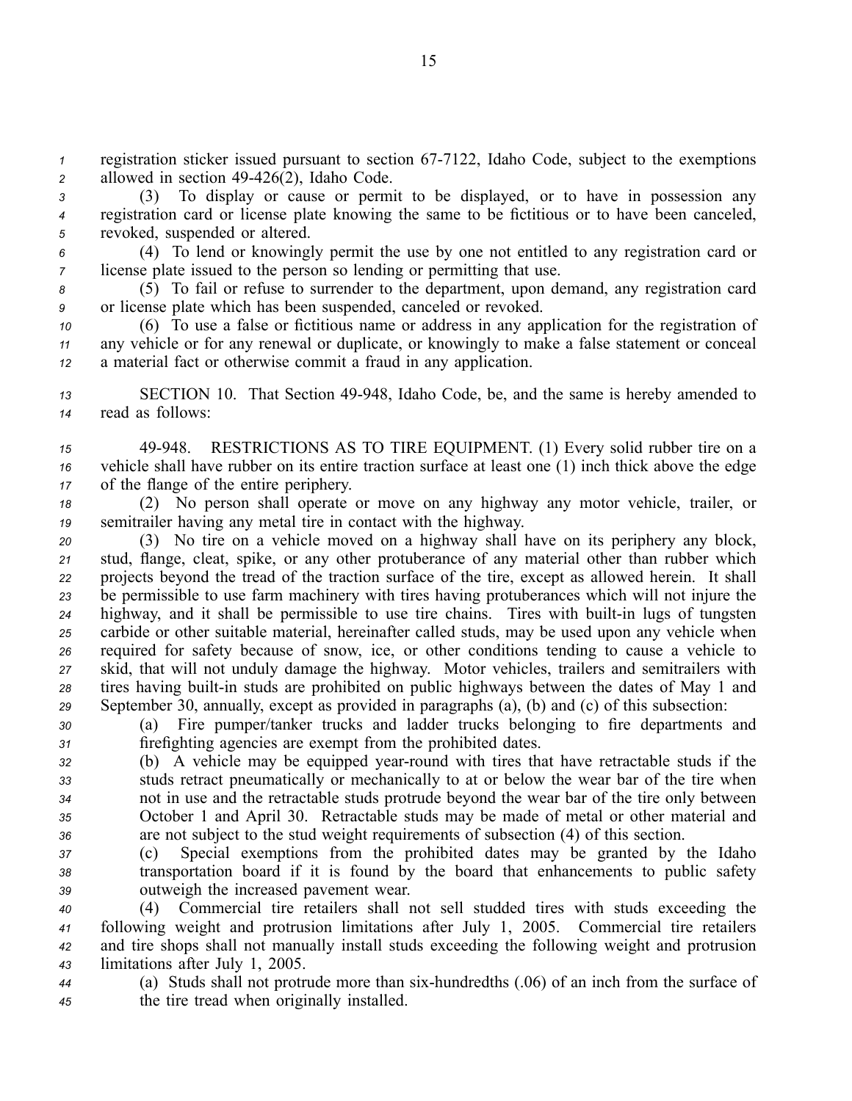*1* registration sticker issued pursuant to section 67-7122, Idaho Code, subject to the exemptions *<sup>2</sup>* allowed in section 49426(2), Idaho Code.

*<sup>3</sup>* (3) To display or cause or permit to be displayed, or to have in possession any *<sup>4</sup>* registration card or license plate knowing the same to be fictitious or to have been canceled, *<sup>5</sup>* revoked, suspended or altered.

*<sup>6</sup>* (4) To lend or knowingly permit the use by one not entitled to any registration card or *<sup>7</sup>* license plate issued to the person so lending or permitting that use.

*<sup>8</sup>* (5) To fail or refuse to surrender to the department, upon demand, any registration card *<sup>9</sup>* or license plate which has been suspended, canceled or revoked.

*<sup>10</sup>* (6) To use <sup>a</sup> false or fictitious name or address in any application for the registration of *<sup>11</sup>* any vehicle or for any renewal or duplicate, or knowingly to make <sup>a</sup> false statement or conceal *<sup>12</sup>* <sup>a</sup> material fact or otherwise commit <sup>a</sup> fraud in any application.

*<sup>13</sup>* SECTION 10. That Section 49948, Idaho Code, be, and the same is hereby amended to *<sup>14</sup>* read as follows:

*<sup>15</sup>* 49948. RESTRICTIONS AS TO TIRE EQUIPMENT. (1) Every solid rubber tire on <sup>a</sup> *<sup>16</sup>* vehicle shall have rubber on its entire traction surface at least one (1) inch thick above the edge *<sup>17</sup>* of the flange of the entire periphery.

*<sup>18</sup>* (2) No person shall operate or move on any highway any motor vehicle, trailer, or *<sup>19</sup>* semitrailer having any metal tire in contact with the highway.

 (3) No tire on <sup>a</sup> vehicle moved on <sup>a</sup> highway shall have on its periphery any block, stud, flange, cleat, spike, or any other protuberance of any material other than rubber which projects beyond the tread of the traction surface of the tire, excep<sup>t</sup> as allowed herein. It shall be permissible to use farm machinery with tires having protuberances which will not injure the 24 highway, and it shall be permissible to use tire chains. Tires with built-in lugs of tungsten carbide or other suitable material, hereinafter called studs, may be used upon any vehicle when required for safety because of snow, ice, or other conditions tending to cause <sup>a</sup> vehicle to skid, that will not unduly damage the highway. Motor vehicles, trailers and semitrailers with tires having built-in studs are prohibited on public highways between the dates of May 1 and September 30, annually, excep<sup>t</sup> as provided in paragraphs (a), (b) and (c) of this subsection:

*<sup>30</sup>* (a) Fire pumper/tanker trucks and ladder trucks belonging to fire departments and *<sup>31</sup>* firefighting agencies are exemp<sup>t</sup> from the prohibited dates.

 (b) A vehicle may be equipped year-round with tires that have retractable studs if the studs retract pneumatically or mechanically to at or below the wear bar of the tire when not in use and the retractable studs protrude beyond the wear bar of the tire only between October 1 and April 30. Retractable studs may be made of metal or other material and are not subject to the stud weight requirements of subsection (4) of this section.

*<sup>37</sup>* (c) Special exemptions from the prohibited dates may be granted by the Idaho *<sup>38</sup>* transportation board if it is found by the board that enhancements to public safety *<sup>39</sup>* outweigh the increased pavemen<sup>t</sup> wear.

 (4) Commercial tire retailers shall not sell studded tires with studs exceeding the following weight and protrusion limitations after July 1, 2005. Commercial tire retailers and tire shops shall not manually install studs exceeding the following weight and protrusion limitations after July 1, 2005.

*<sup>44</sup>* (a) Studs shall not protrude more than sixhundredths (.06) of an inch from the surface of *<sup>45</sup>* the tire tread when originally installed.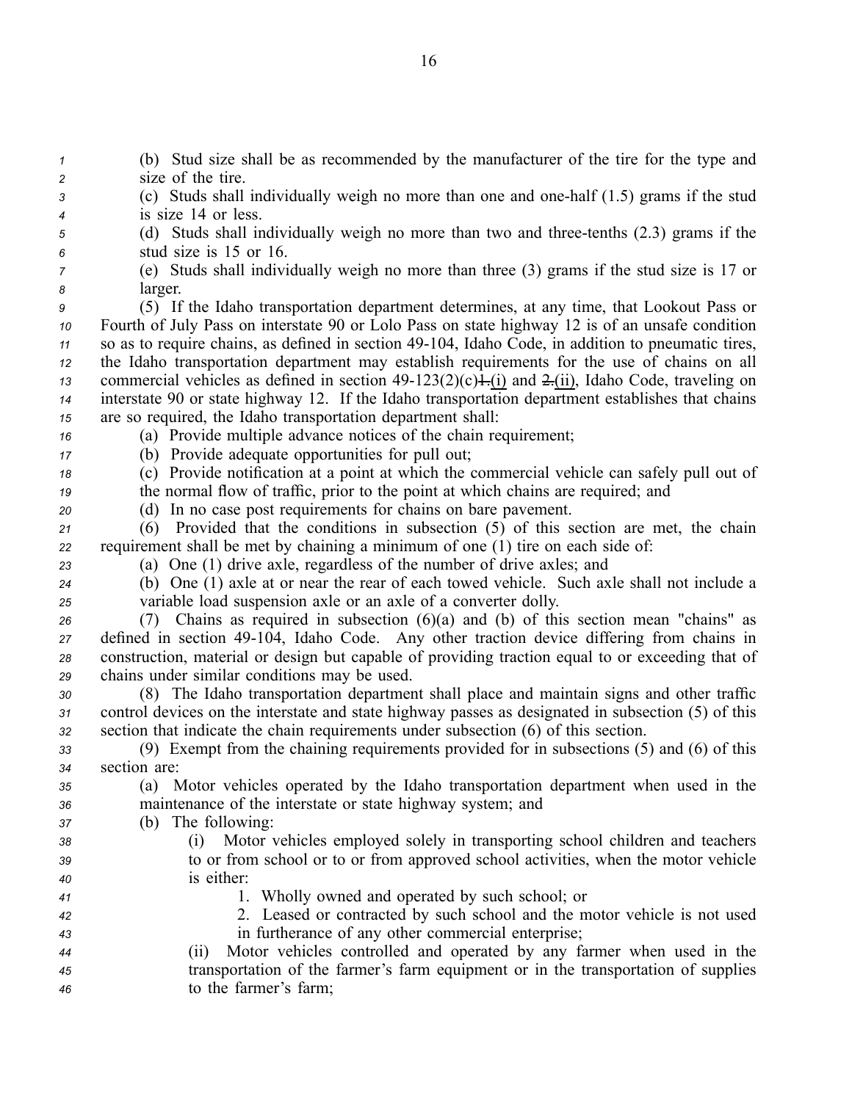(b) Stud size shall be as recommended by the manufacturer of the tire for the type and size of the tire. (c) Studs shall individually weigh no more than one and onehalf (1.5) grams if the stud is size 14 or less. (d) Studs shall individually weigh no more than two and threetenths (2.3) grams if the stud size is 15 or 16. (e) Studs shall individually weigh no more than three (3) grams if the stud size is 17 or *<sup>8</sup>* larger. (5) If the Idaho transportation department determines, at any time, that Lookout Pass or Fourth of July Pass on interstate 90 or Lolo Pass on state highway 12 is of an unsafe condition 11 so as to require chains, as defined in section 49-104, Idaho Code, in addition to pneumatic tires, the Idaho transportation department may establish requirements for the use of chains on all commercial vehicles as defined in section  $49-123(2)(c) +$ . (i) and  $2-(ii)$ , Idaho Code, traveling on interstate 90 or state highway 12. If the Idaho transportation department establishes that chains are so required, the Idaho transportation department shall: (a) Provide multiple advance notices of the chain requirement; (b) Provide adequate opportunities for pull out; (c) Provide notification at <sup>a</sup> point at which the commercial vehicle can safely pull out of the normal flow of traffic, prior to the point at which chains are required; and (d) In no case pos<sup>t</sup> requirements for chains on bare pavement. (6) Provided that the conditions in subsection (5) of this section are met, the chain requirement shall be met by chaining <sup>a</sup> minimum of one (1) tire on each side of: (a) One (1) drive axle, regardless of the number of drive axles; and (b) One (1) axle at or near the rear of each towed vehicle. Such axle shall not include <sup>a</sup> variable load suspension axle or an axle of <sup>a</sup> converter dolly. (7) Chains as required in subsection (6)(a) and (b) of this section mean "chains" as defined in section 49104, Idaho Code. Any other traction device differing from chains in construction, material or design but capable of providing traction equal to or exceeding that of chains under similar conditions may be used. (8) The Idaho transportation department shall place and maintain signs and other traffic control devices on the interstate and state highway passes as designated in subsection (5) of this section that indicate the chain requirements under subsection (6) of this section. (9) Exempt from the chaining requirements provided for in subsections (5) and (6) of this section are: (a) Motor vehicles operated by the Idaho transportation department when used in the maintenance of the interstate or state highway system; and (b) The following: (i) Motor vehicles employed solely in transporting school children and teachers to or from school or to or from approved school activities, when the motor vehicle is either: 1. Wholly owned and operated by such school; or 2. Leased or contracted by such school and the motor vehicle is not used in furtherance of any other commercial enterprise; (ii) Motor vehicles controlled and operated by any farmer when used in the transportation of the farmer's farm equipment or in the transportation of supplies to the farmer's farm;

16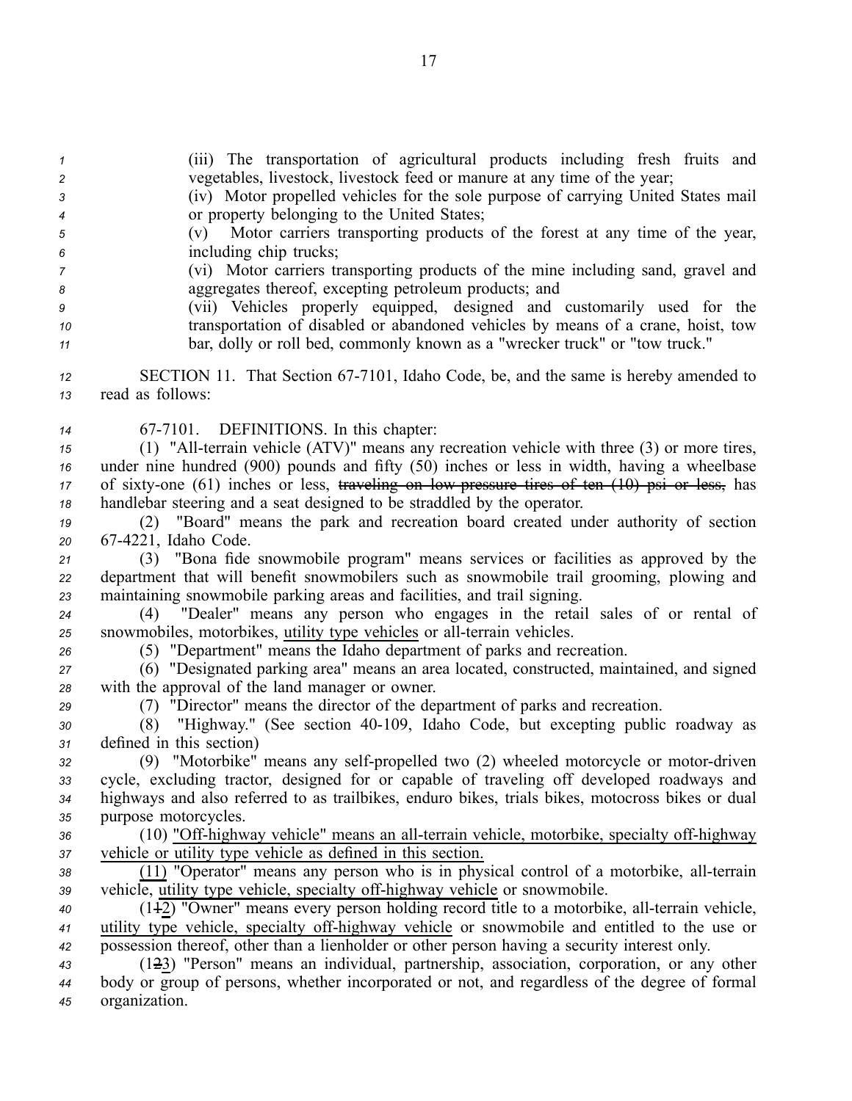- *<sup>1</sup>* (iii) The transportation of agricultural products including fresh fruits and *<sup>2</sup>* vegetables, livestock, livestock feed or manure at any time of the year;
- *<sup>3</sup>* (iv) Motor propelled vehicles for the sole purpose of carrying United States mail *<sup>4</sup>* or property belonging to the United States;
- *<sup>5</sup>* (v) Motor carriers transporting products of the forest at any time of the year, *<sup>6</sup>* including chip trucks;
- *<sup>7</sup>* (vi) Motor carriers transporting products of the mine including sand, gravel and *<sup>8</sup>* aggregates thereof, excepting petroleum products; and
- *<sup>9</sup>* (vii) Vehicles properly equipped, designed and customarily used for the *<sup>10</sup>* transportation of disabled or abandoned vehicles by means of <sup>a</sup> crane, hoist, tow *<sup>11</sup>* bar, dolly or roll bed, commonly known as <sup>a</sup> "wrecker truck" or "tow truck."
- 12 SECTION 11. That Section 67-7101, Idaho Code, be, and the same is hereby amended to *<sup>13</sup>* read as follows:
- 14 67-7101. DEFINITIONS. In this chapter:
- *15* (1) "All-terrain vehicle (ATV)" means any recreation vehicle with three (3) or more tires, *<sup>16</sup>* under nine hundred (900) pounds and fifty (50) inches or less in width, having <sup>a</sup> wheelbase 17 of sixty-one (61) inches or less, traveling on low pressure tires of ten (10) psi or less, has *<sup>18</sup>* handlebar steering and <sup>a</sup> seat designed to be straddled by the operator.
- *<sup>19</sup>* (2) "Board" means the park and recreation board created under authority of section *<sup>20</sup>* 674221, Idaho Code.
- *<sup>21</sup>* (3) "Bona fide snowmobile program" means services or facilities as approved by the *<sup>22</sup>* department that will benefit snowmobilers such as snowmobile trail grooming, plowing and *<sup>23</sup>* maintaining snowmobile parking areas and facilities, and trail signing.
- *<sup>24</sup>* (4) "Dealer" means any person who engages in the retail sales of or rental of 25 snowmobiles, motorbikes, utility type vehicles or all-terrain vehicles.
- *<sup>26</sup>* (5) "Department" means the Idaho department of parks and recreation.
- *<sup>27</sup>* (6) "Designated parking area" means an area located, constructed, maintained, and signed *<sup>28</sup>* with the approval of the land manager or owner.
- *<sup>29</sup>* (7) "Director" means the director of the department of parks and recreation.
- 30 (8) "Highway." (See section 40-109, Idaho Code, but excepting public roadway as *<sup>31</sup>* defined in this section)
- *32* (9) "Motorbike" means any self-propelled two (2) wheeled motorcycle or motor-driven *<sup>33</sup>* cycle, excluding tractor, designed for or capable of traveling off developed roadways and *<sup>34</sup>* highways and also referred to as trailbikes, enduro bikes, trials bikes, motocross bikes or dual *<sup>35</sup>* purpose motorcycles.
- 36 (10) "Off-highway vehicle" means an all-terrain vehicle, motorbike, specialty off-highway *<sup>37</sup>* vehicle or utility type vehicle as defined in this section.
- 38 (11) "Operator" means any person who is in physical control of a motorbike, all-terrain *39* vehicle, utility type vehicle, specialty off-highway vehicle or snowmobile.
- 40 (142) "Owner" means every person holding record title to a motorbike, all-terrain vehicle, 41 utility type vehicle, specialty off-highway vehicle or snowmobile and entitled to the use or *<sup>42</sup>* possession thereof, other than <sup>a</sup> lienholder or other person having <sup>a</sup> security interest only.
- *<sup>43</sup>* (123) "Person" means an individual, partnership, association, corporation, or any other *<sup>44</sup>* body or group of persons, whether incorporated or not, and regardless of the degree of formal *<sup>45</sup>* organization.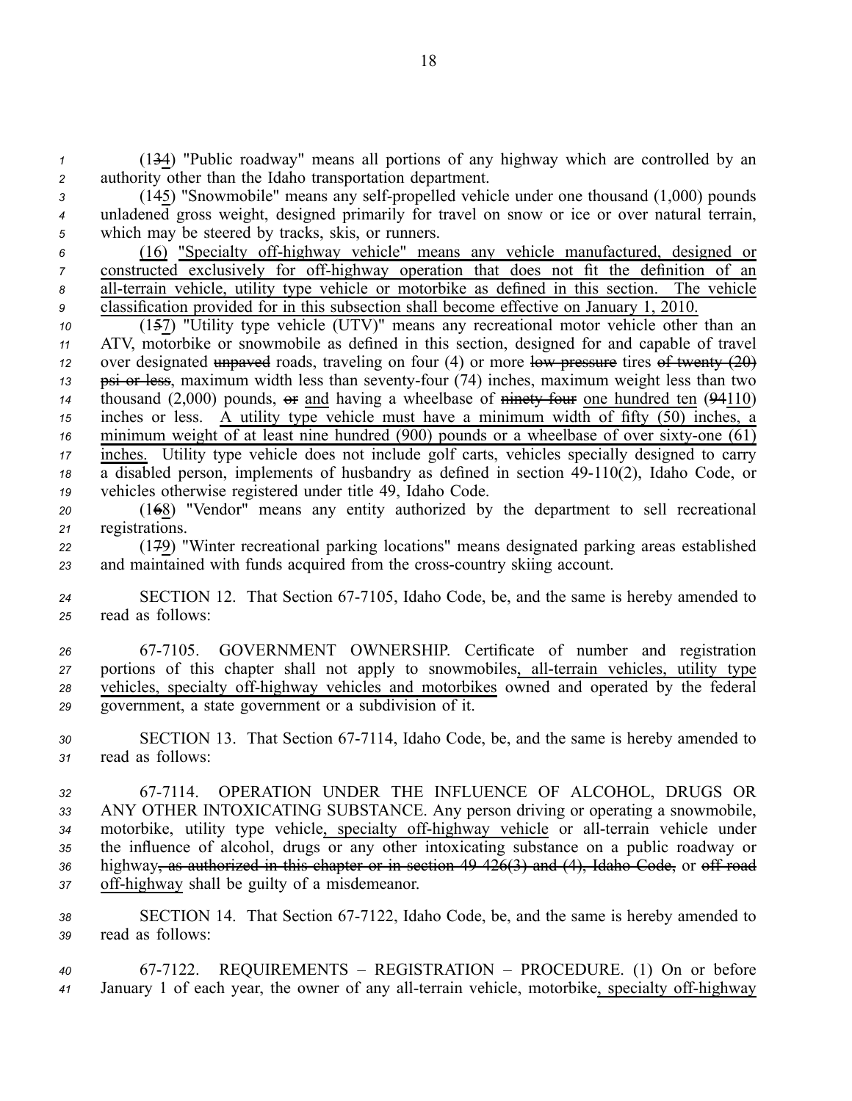*<sup>1</sup>* (134) "Public roadway" means all portions of any highway which are controlled by an *<sup>2</sup>* authority other than the Idaho transportation department.

<sup>3</sup> (145) "Snowmobile" means any self-propelled vehicle under one thousand (1,000) pounds *<sup>4</sup>* unladened gross weight, designed primarily for travel on snow or ice or over natural terrain, *<sup>5</sup>* which may be steered by tracks, skis, or runners.

 (16) "Specialty offhighway vehicle" means any vehicle manufactured, designed or constructed exclusively for off-highway operation that does not fit the definition of an 8 all-terrain vehicle, utility type vehicle or motorbike as defined in this section. The vehicle classification provided for in this subsection shall become effective on January 1, 2010.

 (157) "Utility type vehicle (UTV)" means any recreational motor vehicle other than an ATV, motorbike or snowmobile as defined in this section, designed for and capable of travel over designated unpaved roads, traveling on four (4) or more low pressure tires of twenty (20) 13 psi or less, maximum width less than seventy-four (74) inches, maximum weight less than two thousand  $(2,000)$  pounds,  $\Theta$  and having a wheelbase of ninety four one hundred ten  $(94110)$  inches or less. A utility type vehicle must have <sup>a</sup> minimum width of fifty (50) inches, <sup>a</sup> minimum weight  $\overline{of}$  at least nine hundred (900) pounds or a wheelbase of over sixty-one (61) inches. Utility type vehicle does not include golf carts, vehicles specially designed to carry 18 a disabled person, implements of husbandry as defined in section 49-110(2), Idaho Code, or vehicles otherwise registered under title 49, Idaho Code.

*<sup>20</sup>* (168) "Vendor" means any entity authorized by the department to sell recreational *<sup>21</sup>* registrations.

*<sup>22</sup>* (179) "Winter recreational parking locations" means designated parking areas established 23 and maintained with funds acquired from the cross-country skiing account.

*<sup>24</sup>* SECTION 12. That Section 677105, Idaho Code, be, and the same is hereby amended to *<sup>25</sup>* read as follows:

 677105. GOVERNMENT OWNERSHIP. Certificate of number and registration portions of this chapter shall not apply to snowmobiles, all-terrain vehicles, utility type 28 vehicles, specialty off-highway vehicles and motorbikes owned and operated by the federal government, <sup>a</sup> state governmen<sup>t</sup> or <sup>a</sup> subdivision of it.

*<sup>30</sup>* SECTION 13. That Section 677114, Idaho Code, be, and the same is hereby amended to *<sup>31</sup>* read as follows:

 677114. OPERATION UNDER THE INFLUENCE OF ALCOHOL, DRUGS OR ANY OTHER INTOXICATING SUBSTANCE. Any person driving or operating <sup>a</sup> snowmobile, 34 motorbike, utility type vehicle, specialty off-highway vehicle or all-terrain vehicle under the influence of alcohol, drugs or any other intoxicating substance on <sup>a</sup> public roadway or highway, as authorized in this chapter or in section 49426(3) and (4), Idaho Code, or off road 37 off-highway shall be guilty of a misdemeanor.

38 SECTION 14. That Section 67-7122, Idaho Code, be, and the same is hereby amended to *<sup>39</sup>* read as follows:

*<sup>40</sup>* 677122. REQUIREMENTS – REGISTRATION – PROCEDURE. (1) On or before 41 January 1 of each year, the owner of any all-terrain vehicle, motorbike, specialty off-highway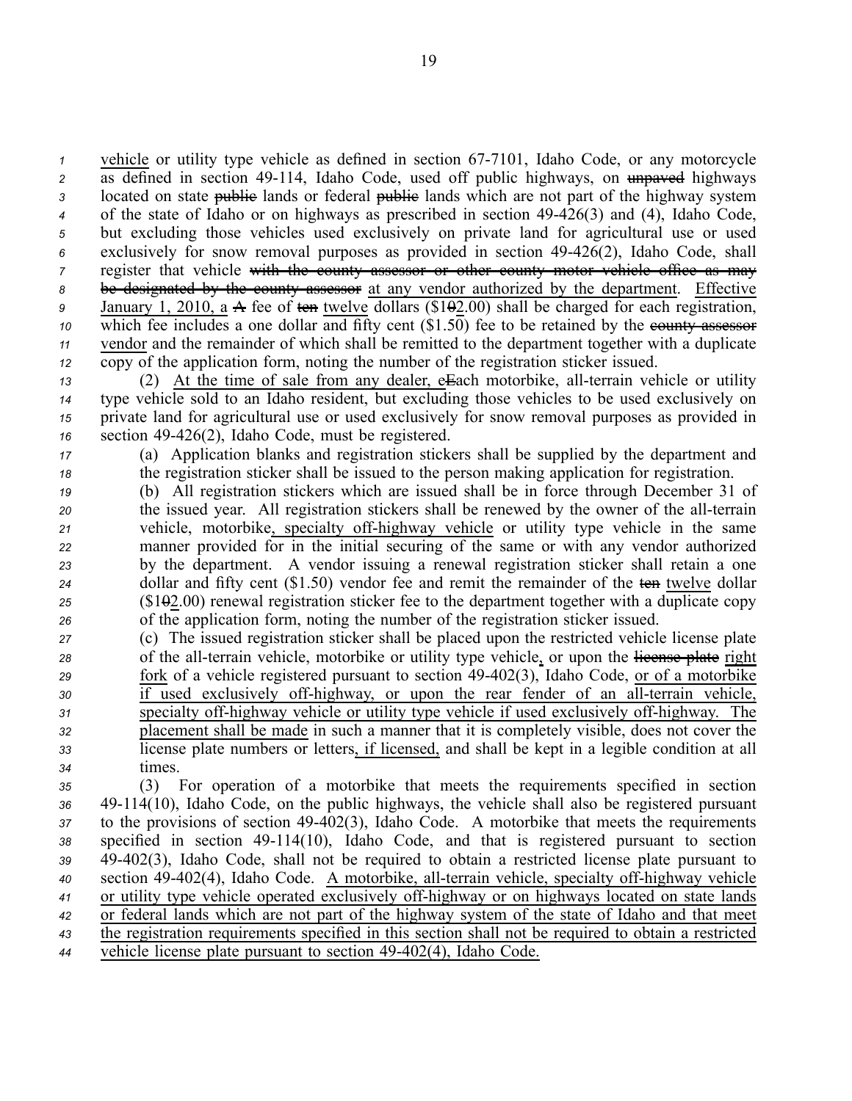vehicle or utility type vehicle as defined in section 67-7101, Idaho Code, or any motorcycle 2 as defined in section 49-114, Idaho Code, used off public highways, on unpaved highways 3 located on state public lands or federal public lands which are not part of the highway system of the state of Idaho or on highways as prescribed in section 49426(3) and (4), Idaho Code, but excluding those vehicles used exclusively on private land for agricultural use or used exclusively for snow removal purposes as provided in section 49426(2), Idaho Code, shall register that vehicle with the county assessor or other county motor vehicle office as may be designated by the county assessor at any vendor authorized by the department. Effective January 1, 2010, <sup>a</sup> A fee of ten twelve dollars (\$102.00) shall be charged for each registration, which fee includes a one dollar and fifty cent (\$1.50) fee to be retained by the equally assessor vendor and the remainder of which shall be remitted to the department together with <sup>a</sup> duplicate copy of the application form, noting the number of the registration sticker issued.

13 (2) At the time of sale from any dealer, eEach motorbike, all-terrain vehicle or utility type vehicle sold to an Idaho resident, but excluding those vehicles to be used exclusively on private land for agricultural use or used exclusively for snow removal purposes as provided in section 49426(2), Idaho Code, must be registered.

*<sup>17</sup>* (a) Application blanks and registration stickers shall be supplied by the department and *<sup>18</sup>* the registration sticker shall be issued to the person making application for registration.

- *<sup>19</sup>* (b) All registration stickers which are issued shall be in force through December 31 of *20* the issued year. All registration stickers shall be renewed by the owner of the all-terrain *21* vehicle, motorbike, specialty off-highway vehicle or utility type vehicle in the same *<sup>22</sup>* manner provided for in the initial securing of the same or with any vendor authorized *<sup>23</sup>* by the department. A vendor issuing <sup>a</sup> renewal registration sticker shall retain <sup>a</sup> one 24 dollar and fifty cent (\$1.50) vendor fee and remit the remainder of the ten twelve dollar *<sup>25</sup>* (\$102.00) renewal registration sticker fee to the department together with <sup>a</sup> duplicate copy *<sup>26</sup>* of the application form, noting the number of the registration sticker issued.
- *<sup>27</sup>* (c) The issued registration sticker shall be placed upon the restricted vehicle license plate 28 of the all-terrain vehicle, motorbike or utility type vehicle, or upon the license plate right *<sup>29</sup>* fork of <sup>a</sup> vehicle registered pursuan<sup>t</sup> to section 49402(3), Idaho Code, or of <sup>a</sup> motorbike *30* if used exclusively off-highway, or upon the rear fender of an all-terrain vehicle, 31 specialty off-highway vehicle or utility type vehicle if used exclusively off-highway. The *<sup>32</sup>* placement shall be made in such <sup>a</sup> manner that it is completely visible, does not cover the *<sup>33</sup>* license plate numbers or letters, if licensed, and shall be kept in <sup>a</sup> legible condition at all *<sup>34</sup>* times.

 (3) For operation of <sup>a</sup> motorbike that meets the requirements specified in section 49114(10), Idaho Code, on the public highways, the vehicle shall also be registered pursuan<sup>t</sup> to the provisions of section 49402(3), Idaho Code. A motorbike that meets the requirements specified in section 49114(10), Idaho Code, and that is registered pursuan<sup>t</sup> to section 49402(3), Idaho Code, shall not be required to obtain <sup>a</sup> restricted license plate pursuan<sup>t</sup> to 40 section 49-402(4), Idaho Code. A motorbike, all-terrain vehicle, specialty off-highway vehicle or utility type vehicle operated exclusively offhighway or on highways located on state lands or federal lands which are not par<sup>t</sup> of the highway system of the state of Idaho and that meet the registration requirements specified in this section shall not be required to obtain <sup>a</sup> restricted vehicle license plate pursuant to section 49-402(4), Idaho Code.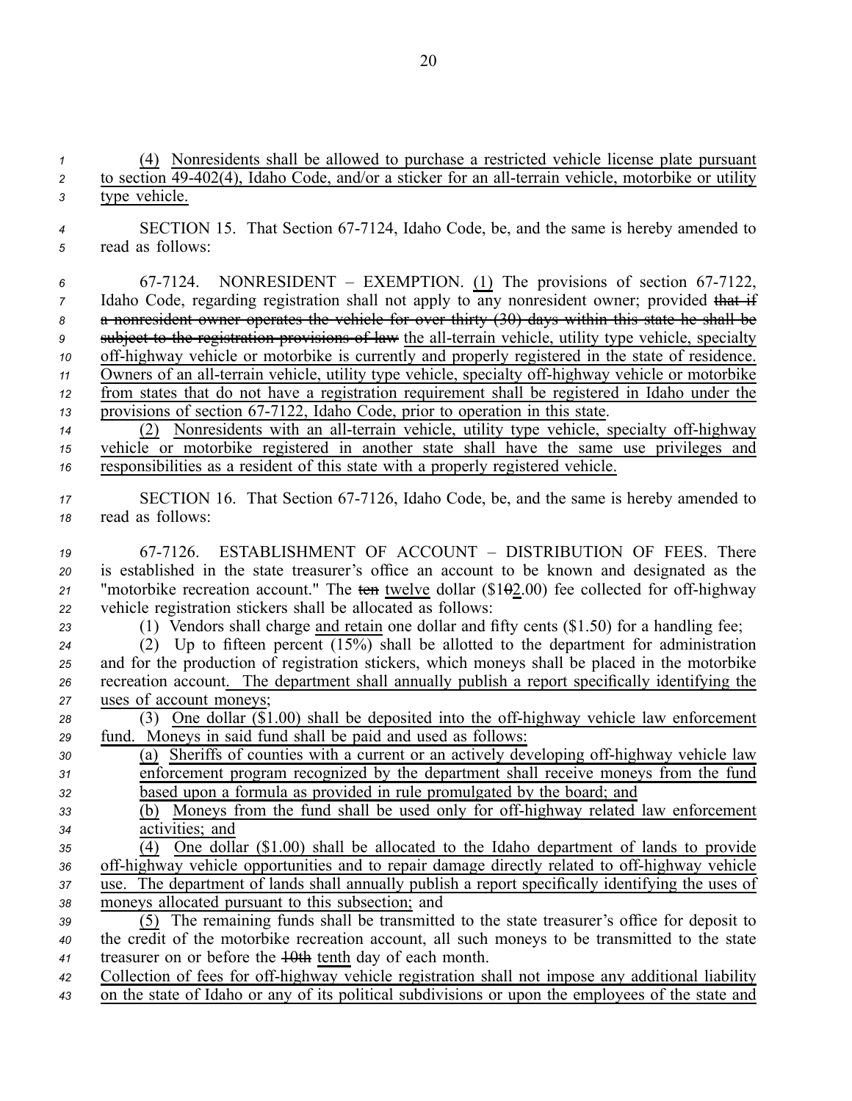(4) Nonresidents shall be allowed to purchase <sup>a</sup> restricted vehicle license plate pursuan<sup>t</sup> <sup>2</sup> to section 49-402(4), Idaho Code, and/or a sticker for an all-terrain vehicle, motorbike or utility type vehicle. 4 SECTION 15. That Section 67-7124, Idaho Code, be, and the same is hereby amended to read as follows: 6 67-7124. NONRESIDENT – EXEMPTION. (1) The provisions of section 67-7122, Idaho Code, regarding registration shall not apply to any nonresident owner; provided that if <sup>a</sup> nonresident owner operates the vehicle for over thirty (30) days within this state he shall be <sup>9</sup> subject to the registration provisions of law the all-terrain vehicle, utility type vehicle, specialty 10 off-highway vehicle or motorbike is currently and properly registered in the state of residence. Owners of an all-terrain vehicle, utility type vehicle, specialty off-highway vehicle or motorbike from states that do not have <sup>a</sup> registration requirement shall be registered in Idaho under the provisions of section 67-7122, Idaho Code, prior to operation in this state. 14 (2) Nonresidents with an all-terrain vehicle, utility type vehicle, specialty off-highway vehicle or motorbike registered in another state shall have the same use privileges and responsibilities as <sup>a</sup> resident of this state with <sup>a</sup> properly registered vehicle. 17 SECTION 16. That Section 67-7126, Idaho Code, be, and the same is hereby amended to read as follows: 677126. ESTABLISHMENT OF ACCOUNT – DISTRIBUTION OF FEES. There is established in the state treasurer's office an account to be known and designated as the <sup>21</sup> "motorbike recreation account." The ten twelve dollar  $(\$1\Theta2.00)$  fee collected for off-highway vehicle registration stickers shall be allocated as follows: (1) Vendors shall charge and retain one dollar and fifty cents (\$1.50) for <sup>a</sup> handling fee; (2) Up to fifteen percen<sup>t</sup> (15%) shall be allotted to the department for administration and for the production of registration stickers, which moneys shall be placed in the motorbike recreation account. The department shall annually publish <sup>a</sup> repor<sup>t</sup> specifically identifying the uses of account moneys; 28 (3) One dollar (\$1.00) shall be deposited into the off-highway vehicle law enforcement fund. Moneys in said fund shall be paid and used as follows: 30 (a) Sheriffs of counties with a current or an actively developing off-highway vehicle law enforcement program recognized by the department shall receive moneys from the fund based upon <sup>a</sup> formula as provided in rule promulgated by the board; and 33 (b) Moneys from the fund shall be used only for off-highway related law enforcement activities; and (4) One dollar (\$1.00) shall be allocated to the Idaho department of lands to provide off-highway vehicle opportunities and to repair damage directly related to off-highway vehicle use. The department of lands shall annually publish <sup>a</sup> repor<sup>t</sup> specifically identifying the uses of moneys allocated pursuan<sup>t</sup> to this subsection; and (5) The remaining funds shall be transmitted to the state treasurer's office for deposit to the credit of the motorbike recreation account, all such moneys to be transmitted to the state treasurer on or before the 10th tenth day of each month. Collection of fees for offhighway vehicle registration shall not impose any additional liability on the state of Idaho or any of its political subdivisions or upon the employees of the state and

20